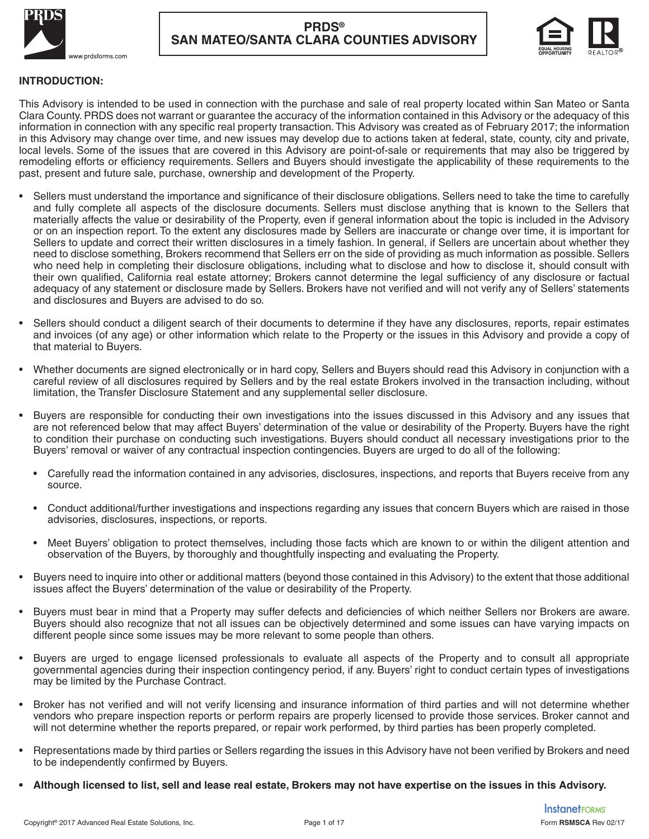



### **INTRODUCTION:**

This Advisory is intended to be used in connection with the purchase and sale of real property located within San Mateo or Santa Clara County. PRDS does not warrant or guarantee the accuracy of the information contained in this Advisory or the adequacy of this information in connection with any specific real property transaction. This Advisory was created as of February 2017; the information in this Advisory may change over time, and new issues may develop due to actions taken at federal, state, county, city and private, local levels. Some of the issues that are covered in this Advisory are point-of-sale or requirements that may also be triggered by remodeling efforts or efficiency requirements. Sellers and Buyers should investigate the applicability of these requirements to the past, present and future sale, purchase, ownership and development of the Property.

- Sellers must understand the importance and significance of their disclosure obligations. Sellers need to take the time to carefully and fully complete all aspects of the disclosure documents. Sellers must disclose anything that is known to the Sellers that materially affects the value or desirability of the Property, even if general information about the topic is included in the Advisory or on an inspection report. To the extent any disclosures made by Sellers are inaccurate or change over time, it is important for Sellers to update and correct their written disclosures in a timely fashion. In general, if Sellers are uncertain about whether they need to disclose something, Brokers recommend that Sellers err on the side of providing as much information as possible. Sellers who need help in completing their disclosure obligations, including what to disclose and how to disclose it, should consult with their own qualified, California real estate attorney; Brokers cannot determine the legal sufficiency of any disclosure or factual adequacy of any statement or disclosure made by Sellers. Brokers have not verified and will not verify any of Sellers' statements and disclosures and Buyers are advised to do so.
- Sellers should conduct a diligent search of their documents to determine if they have any disclosures, reports, repair estimates and invoices (of any age) or other information which relate to the Property or the issues in this Advisory and provide a copy of that material to Buyers.
- Whether documents are signed electronically or in hard copy, Sellers and Buyers should read this Advisory in conjunction with a careful review of all disclosures required by Sellers and by the real estate Brokers involved in the transaction including, without limitation, the Transfer Disclosure Statement and any supplemental seller disclosure.
- Buyers are responsible for conducting their own investigations into the issues discussed in this Advisory and any issues that are not referenced below that may affect Buyers' determination of the value or desirability of the Property. Buyers have the right to condition their purchase on conducting such investigations. Buyers should conduct all necessary investigations prior to the Buyers' removal or waiver of any contractual inspection contingencies. Buyers are urged to do all of the following:
	- Carefully read the information contained in any advisories, disclosures, inspections, and reports that Buyers receive from any source.
	- Conduct additional/further investigations and inspections regarding any issues that concern Buyers which are raised in those advisories, disclosures, inspections, or reports.
	- Meet Buyers' obligation to protect themselves, including those facts which are known to or within the diligent attention and observation of the Buyers, by thoroughly and thoughtfully inspecting and evaluating the Property.
- Buyers need to inquire into other or additional matters (beyond those contained in this Advisory) to the extent that those additional issues affect the Buyers' determination of the value or desirability of the Property.
- Buyers must bear in mind that a Property may suffer defects and deficiencies of which neither Sellers nor Brokers are aware. Buyers should also recognize that not all issues can be objectively determined and some issues can have varying impacts on different people since some issues may be more relevant to some people than others.
- Buyers are urged to engage licensed professionals to evaluate all aspects of the Property and to consult all appropriate governmental agencies during their inspection contingency period, if any. Buyers' right to conduct certain types of investigations may be limited by the Purchase Contract.
- Broker has not verified and will not verify licensing and insurance information of third parties and will not determine whether vendors who prepare inspection reports or perform repairs are properly licensed to provide those services. Broker cannot and will not determine whether the reports prepared, or repair work performed, by third parties has been properly completed.
- Representations made by third parties or Sellers regarding the issues in this Advisory have not been verified by Brokers and need to be independently confirmed by Buyers.
- **Although licensed to list, sell and lease real estate, Brokers may not have expertise on the issues in this Advisory.**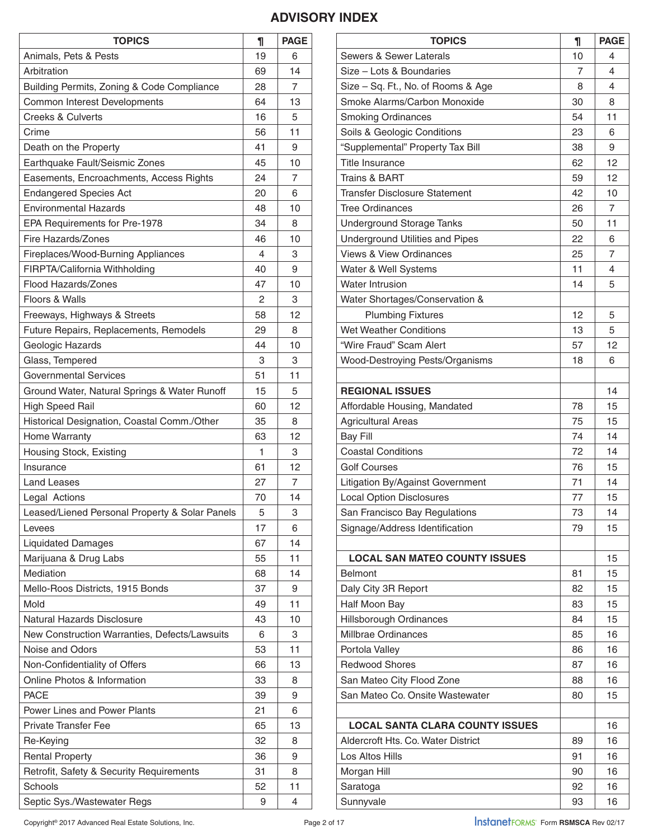# **ADVISORY INDEX**

| <b>TOPICS</b>                                  | 1  | <b>PAGE</b> |
|------------------------------------------------|----|-------------|
| Animals, Pets & Pests                          | 19 | 6           |
| Arbitration                                    |    | 14          |
| Building Permits, Zoning & Code Compliance     | 28 | 7           |
| Common Interest Developments                   | 64 | 13          |
| <b>Creeks &amp; Culverts</b>                   | 16 | 5           |
| Crime                                          | 56 | 11          |
| Death on the Property                          | 41 | 9           |
| Earthquake Fault/Seismic Zones                 | 45 | 10          |
| Easements, Encroachments, Access Rights        | 24 | 7           |
| <b>Endangered Species Act</b>                  | 20 | 6           |
| <b>Environmental Hazards</b>                   | 48 | 10          |
| EPA Requirements for Pre-1978                  | 34 | 8           |
| <b>Fire Hazards/Zones</b>                      | 46 | 10          |
| Fireplaces/Wood-Burning Appliances             | 4  | 3           |
| FIRPTA/California Withholding                  | 40 | 9           |
| <b>Flood Hazards/Zones</b>                     | 47 | 10          |
| Floors & Walls                                 | 2  | 3           |
| Freeways, Highways & Streets                   | 58 | 12          |
| Future Repairs, Replacements, Remodels         | 29 | 8           |
| Geologic Hazards                               | 44 | 10          |
| Glass, Tempered                                | 3  | 3           |
| <b>Governmental Services</b>                   | 51 | 11          |
| Ground Water, Natural Springs & Water Runoff   | 15 | 5           |
| <b>High Speed Rail</b>                         | 60 | 12          |
| Historical Designation, Coastal Comm./Other    | 35 | 8           |
| <b>Home Warranty</b>                           | 63 | 12          |
| Housing Stock, Existing                        | 1  | 3           |
| Insurance                                      | 61 | 12          |
| <b>Land Leases</b>                             | 27 | 7           |
| Legal Actions                                  | 70 | 14          |
| Leased/Liened Personal Property & Solar Panels | 5  | 3           |
| Levees                                         | 17 | 6           |
| <b>Liquidated Damages</b>                      | 67 | 14          |
| Marijuana & Drug Labs                          | 55 | 11          |
| Mediation                                      | 68 | 14          |
| Mello-Roos Districts, 1915 Bonds               | 37 | 9           |
| Mold                                           | 49 | 11          |
| <b>Natural Hazards Disclosure</b>              | 43 | 10          |
| New Construction Warranties, Defects/Lawsuits  | 6  | 3           |
| Noise and Odors                                | 53 | 11          |
| Non-Confidentiality of Offers                  | 66 | 13          |
| Online Photos & Information                    | 33 | 8           |
| <b>PACE</b>                                    | 39 | 9           |
| <b>Power Lines and Power Plants</b>            | 21 | 6           |
| <b>Private Transfer Fee</b>                    | 65 | 13          |
| Re-Keying                                      | 32 | 8           |
| <b>Rental Property</b>                         | 36 | 9           |
| Retrofit, Safety & Security Requirements       | 31 | 8           |
| Schools                                        | 52 | 11          |
| Septic Sys./Wastewater Regs                    | 9  | 4           |

| <b>TOPICS</b>                          | 1  | <b>PAGE</b>    |
|----------------------------------------|----|----------------|
| Sewers & Sewer Laterals                | 10 | 4              |
| Size - Lots & Boundaries               | 7  | 4              |
| Size - Sq. Ft., No. of Rooms & Age     | 8  | 4              |
| Smoke Alarms/Carbon Monoxide           | 30 | 8              |
| <b>Smoking Ordinances</b>              | 54 | 11             |
| Soils & Geologic Conditions            | 23 | 6              |
| "Supplemental" Property Tax Bill       | 38 | 9              |
| <b>Title Insurance</b>                 | 62 | 12             |
| <b>Trains &amp; BART</b>               | 59 | 12             |
| <b>Transfer Disclosure Statement</b>   | 42 | 10             |
| <b>Tree Ordinances</b>                 | 26 | 7              |
| <b>Underground Storage Tanks</b>       | 50 | 11             |
| Underground Utilities and Pipes        | 22 | 6              |
| <b>Views &amp; View Ordinances</b>     | 25 | $\overline{7}$ |
| Water & Well Systems                   | 11 | 4              |
| <b>Water Intrusion</b>                 | 14 | 5              |
| Water Shortages/Conservation &         |    |                |
| <b>Plumbing Fixtures</b>               | 12 | 5              |
| <b>Wet Weather Conditions</b>          | 13 | 5              |
| "Wire Fraud" Scam Alert                | 57 | 12             |
| Wood-Destroying Pests/Organisms        | 18 | 6              |
|                                        |    |                |
| <b>REGIONAL ISSUES</b>                 |    | 14             |
| Affordable Housing, Mandated           | 78 | 15             |
| <b>Agricultural Areas</b>              | 75 | 15             |
| <b>Bay Fill</b>                        | 74 | 14             |
| <b>Coastal Conditions</b>              | 72 | 14             |
| <b>Golf Courses</b>                    | 76 | 15             |
| Litigation By/Against Government       | 71 | 14             |
| <b>Local Option Disclosures</b>        | 77 | 15             |
| San Francisco Bay Regulations          | 73 | 14             |
| Signage/Address Identification         | 79 | 15             |
|                                        |    |                |
| <b>LOCAL SAN MATEO COUNTY ISSUES</b>   |    | 15             |
| <b>Belmont</b>                         | 81 | 15             |
| Daly City 3R Report                    | 82 | 15             |
| Half Moon Bay                          | 83 | 15             |
| <b>Hillsborough Ordinances</b>         | 84 | 15             |
| Millbrae Ordinances                    | 85 | 16             |
| Portola Valley                         | 86 | 16             |
| <b>Redwood Shores</b>                  | 87 | 16             |
| San Mateo City Flood Zone              | 88 | 16             |
| San Mateo Co. Onsite Wastewater        | 80 | 15             |
|                                        |    |                |
| <b>LOCAL SANTA CLARA COUNTY ISSUES</b> |    | 16             |
| Aldercroft Hts. Co. Water District     | 89 | 16             |
| Los Altos Hills                        | 91 | 16             |
| Morgan Hill                            | 90 | 16             |
| Saratoga                               | 92 | 16             |
| Sunnyvale                              | 93 | 16             |

Copyright<sup>®</sup> 2017 Advanced Real Estate Solutions, Inc.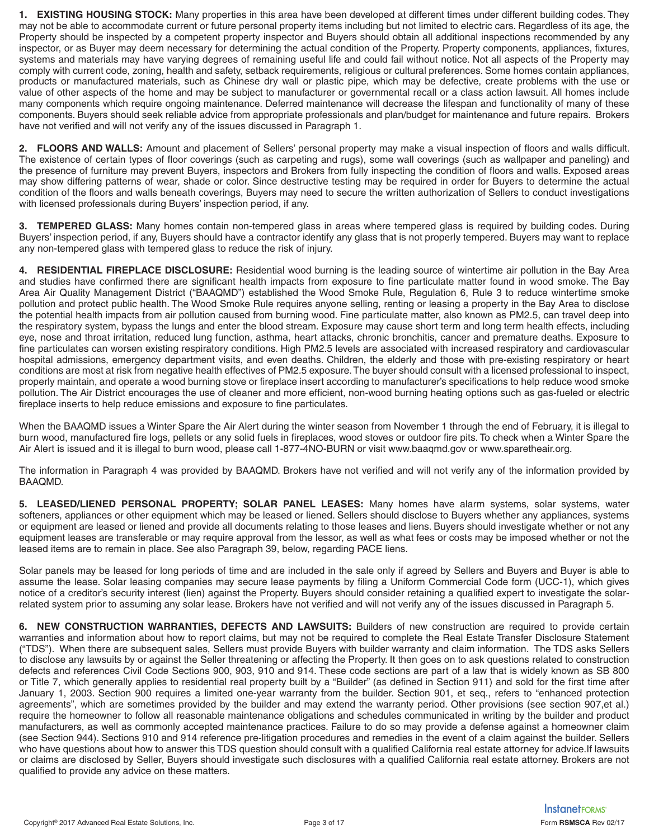**1. EXISTING HOUSING STOCK:** Many properties in this area have been developed at different times under different building codes. They may not be able to accommodate current or future personal property items including but not limited to electric cars. Regardless of its age, the Property should be inspected by a competent property inspector and Buyers should obtain all additional inspections recommended by any inspector, or as Buyer may deem necessary for determining the actual condition of the Property. Property components, appliances, fixtures, systems and materials may have varying degrees of remaining useful life and could fail without notice. Not all aspects of the Property may comply with current code, zoning, health and safety, setback requirements, religious or cultural preferences. Some homes contain appliances, products or manufactured materials, such as Chinese dry wall or plastic pipe, which may be defective, create problems with the use or value of other aspects of the home and may be subject to manufacturer or governmental recall or a class action lawsuit. All homes include many components which require ongoing maintenance. Deferred maintenance will decrease the lifespan and functionality of many of these components. Buyers should seek reliable advice from appropriate professionals and plan/budget for maintenance and future repairs. Brokers have not verified and will not verify any of the issues discussed in Paragraph 1.

**2. FLOORS AND WALLS:** Amount and placement of Sellers' personal property may make a visual inspection of floors and walls difficult. The existence of certain types of floor coverings (such as carpeting and rugs), some wall coverings (such as wallpaper and paneling) and the presence of furniture may prevent Buyers, inspectors and Brokers from fully inspecting the condition of floors and walls. Exposed areas may show differing patterns of wear, shade or color. Since destructive testing may be required in order for Buyers to determine the actual condition of the floors and walls beneath coverings, Buyers may need to secure the written authorization of Sellers to conduct investigations with licensed professionals during Buyers' inspection period, if any.

**3. TEMPERED GLASS:** Many homes contain non-tempered glass in areas where tempered glass is required by building codes. During Buyers' inspection period, if any, Buyers should have a contractor identify any glass that is not properly tempered. Buyers may want to replace any non-tempered glass with tempered glass to reduce the risk of injury.

**4. RESIDENTIAL FIREPLACE DISCLOSURE:** Residential wood burning is the leading source of wintertime air pollution in the Bay Area and studies have confirmed there are significant health impacts from exposure to fine particulate matter found in wood smoke. The Bay Area Air Quality Management District ("BAAQMD") established the Wood Smoke Rule, Regulation 6, Rule 3 to reduce wintertime smoke pollution and protect public health. The Wood Smoke Rule requires anyone selling, renting or leasing a property in the Bay Area to disclose the potential health impacts from air pollution caused from burning wood. Fine particulate matter, also known as PM2.5, can travel deep into the respiratory system, bypass the lungs and enter the blood stream. Exposure may cause short term and long term health effects, including eye, nose and throat irritation, reduced lung function, asthma, heart attacks, chronic bronchitis, cancer and premature deaths. Exposure to fine particulates can worsen existing respiratory conditions. High PM2.5 levels are associated with increased respiratory and cardiovascular hospital admissions, emergency department visits, and even deaths. Children, the elderly and those with pre-existing respiratory or heart conditions are most at risk from negative health effectives of PM2.5 exposure. The buyer should consult with a licensed professional to inspect, properly maintain, and operate a wood burning stove or fireplace insert according to manufacturer's specifications to help reduce wood smoke pollution. The Air District encourages the use of cleaner and more efficient, non-wood burning heating options such as gas-fueled or electric fireplace inserts to help reduce emissions and exposure to fine particulates.

When the BAAQMD issues a Winter Spare the Air Alert during the winter season from November 1 through the end of February, it is illegal to burn wood, manufactured fire logs, pellets or any solid fuels in fireplaces, wood stoves or outdoor fire pits. To check when a Winter Spare the Air Alert is issued and it is illegal to burn wood, please call 1-877-4NO-BURN or visit www.baaqmd.gov or www.sparetheair.org.

The information in Paragraph 4 was provided by BAAQMD. Brokers have not verified and will not verify any of the information provided by BAAQMD.

**5. LEASED/LIENED PERSONAL PROPERTY; SOLAR PANEL LEASES:** Many homes have alarm systems, solar systems, water softeners, appliances or other equipment which may be leased or liened. Sellers should disclose to Buyers whether any appliances, systems or equipment are leased or liened and provide all documents relating to those leases and liens. Buyers should investigate whether or not any equipment leases are transferable or may require approval from the lessor, as well as what fees or costs may be imposed whether or not the leased items are to remain in place. See also Paragraph 39, below, regarding PACE liens.

Solar panels may be leased for long periods of time and are included in the sale only if agreed by Sellers and Buyers and Buyer is able to assume the lease. Solar leasing companies may secure lease payments by filing a Uniform Commercial Code form (UCC-1), which gives notice of a creditor's security interest (lien) against the Property. Buyers should consider retaining a qualified expert to investigate the solarrelated system prior to assuming any solar lease. Brokers have not verified and will not verify any of the issues discussed in Paragraph 5.

**6. NEW CONSTRUCTION WARRANTIES, DEFECTS AND LAWSUITS:** Builders of new construction are required to provide certain warranties and information about how to report claims, but may not be required to complete the Real Estate Transfer Disclosure Statement ("TDS"). When there are subsequent sales, Sellers must provide Buyers with builder warranty and claim information. The TDS asks Sellers to disclose any lawsuits by or against the Seller threatening or affecting the Property. It then goes on to ask questions related to construction defects and references Civil Code Sections 900, 903, 910 and 914. These code sections are part of a law that is widely known as SB 800 or Title 7, which generally applies to residential real property built by a "Builder" (as defined in Section 911) and sold for the first time after January 1, 2003. Section 900 requires a limited one-year warranty from the builder. Section 901, et seq., refers to "enhanced protection agreements", which are sometimes provided by the builder and may extend the warranty period. Other provisions (see section 907,et al.) require the homeowner to follow all reasonable maintenance obligations and schedules communicated in writing by the builder and product manufacturers, as well as commonly accepted maintenance practices. Failure to do so may provide a defense against a homeowner claim (see Section 944). Sections 910 and 914 reference pre-litigation procedures and remedies in the event of a claim against the builder. Sellers who have questions about how to answer this TDS question should consult with a qualified California real estate attorney for advice.If lawsuits or claims are disclosed by Seller, Buyers should investigate such disclosures with a qualified California real estate attorney. Brokers are not qualified to provide any advice on these matters.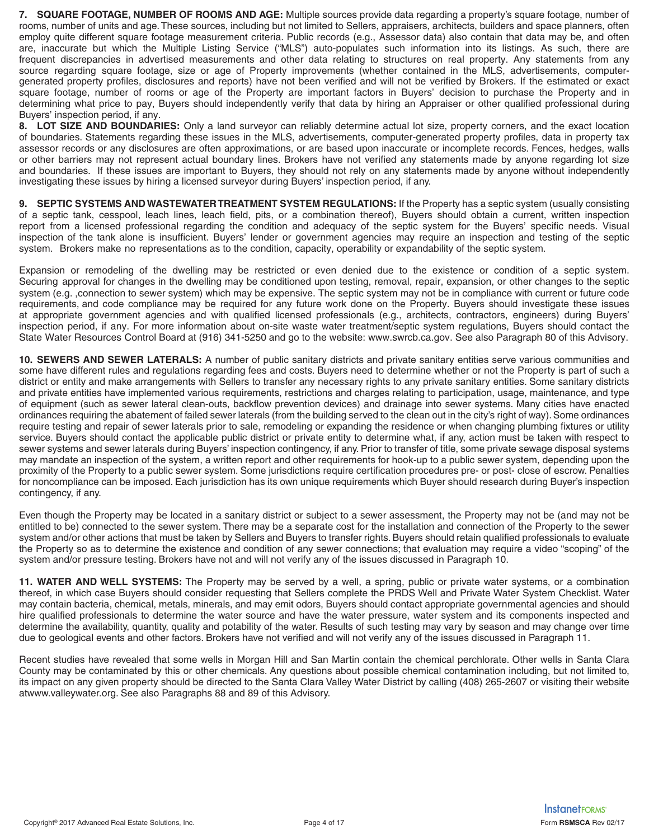**7. SQUARE FOOTAGE, NUMBER OF ROOMS AND AGE:** Multiple sources provide data regarding a property's square footage, number of rooms, number of units and age. These sources, including but not limited to Sellers, appraisers, architects, builders and space planners, often employ quite different square footage measurement criteria. Public records (e.g., Assessor data) also contain that data may be, and often are, inaccurate but which the Multiple Listing Service ("MLS") auto-populates such information into its listings. As such, there are frequent discrepancies in advertised measurements and other data relating to structures on real property. Any statements from any source regarding square footage, size or age of Property improvements (whether contained in the MLS, advertisements, computergenerated property profiles, disclosures and reports) have not been verified and will not be verified by Brokers. If the estimated or exact square footage, number of rooms or age of the Property are important factors in Buyers' decision to purchase the Property and in determining what price to pay, Buyers should independently verify that data by hiring an Appraiser or other qualified professional during Buyers' inspection period, if any.

**8. LOT SIZE AND BOUNDARIES:** Only a land surveyor can reliably determine actual lot size, property corners, and the exact location of boundaries. Statements regarding these issues in the MLS, advertisements, computer-generated property profiles, data in property tax assessor records or any disclosures are often approximations, or are based upon inaccurate or incomplete records. Fences, hedges, walls or other barriers may not represent actual boundary lines. Brokers have not verified any statements made by anyone regarding lot size and boundaries. If these issues are important to Buyers, they should not rely on any statements made by anyone without independently investigating these issues by hiring a licensed surveyor during Buyers' inspection period, if any.

**9. SEPTIC SYSTEMS AND WASTEWATER TREATMENT SYSTEM REGULATIONS:** If the Property has a septic system (usually consisting of a septic tank, cesspool, leach lines, leach field, pits, or a combination thereof), Buyers should obtain a current, written inspection report from a licensed professional regarding the condition and adequacy of the septic system for the Buyers' specific needs. Visual inspection of the tank alone is insufficient. Buyers' lender or government agencies may require an inspection and testing of the septic system. Brokers make no representations as to the condition, capacity, operability or expandability of the septic system.

Expansion or remodeling of the dwelling may be restricted or even denied due to the existence or condition of a septic system. Securing approval for changes in the dwelling may be conditioned upon testing, removal, repair, expansion, or other changes to the septic system (e.g., connection to sewer system) which may be expensive. The septic system may not be in compliance with current or future code requirements, and code compliance may be required for any future work done on the Property. Buyers should investigate these issues at appropriate government agencies and with qualified licensed professionals (e.g., architects, contractors, engineers) during Buyers' inspection period, if any. For more information about on-site waste water treatment/septic system regulations, Buyers should contact the State Water Resources Control Board at (916) 341-5250 and go to the website: www.swrcb.ca.gov. See also Paragraph 80 of this Advisory.

**10. SEWERS AND SEWER LATERALS:** A number of public sanitary districts and private sanitary entities serve various communities and some have different rules and regulations regarding fees and costs. Buyers need to determine whether or not the Property is part of such a district or entity and make arrangements with Sellers to transfer any necessary rights to any private sanitary entities. Some sanitary districts and private entities have implemented various requirements, restrictions and charges relating to participation, usage, maintenance, and type of equipment (such as sewer lateral clean-outs, backflow prevention devices) and drainage into sewer systems. Many cities have enacted ordinances requiring the abatement of failed sewer laterals (from the building served to the clean out in the city's right of way). Some ordinances require testing and repair of sewer laterals prior to sale, remodeling or expanding the residence or when changing plumbing fixtures or utility service. Buyers should contact the applicable public district or private entity to determine what, if any, action must be taken with respect to sewer systems and sewer laterals during Buyers' inspection contingency, if any. Prior to transfer of title, some private sewage disposal systems may mandate an inspection of the system, a written report and other requirements for hook-up to a public sewer system, depending upon the proximity of the Property to a public sewer system. Some jurisdictions require certification procedures pre- or post- close of escrow. Penalties for noncompliance can be imposed. Each jurisdiction has its own unique requirements which Buyer should research during Buyer's inspection contingency, if any.

Even though the Property may be located in a sanitary district or subject to a sewer assessment, the Property may not be (and may not be entitled to be) connected to the sewer system. There may be a separate cost for the installation and connection of the Property to the sewer system and/or other actions that must be taken by Sellers and Buyers to transfer rights. Buyers should retain qualified professionals to evaluate the Property so as to determine the existence and condition of any sewer connections; that evaluation may require a video "scoping" of the system and/or pressure testing. Brokers have not and will not verify any of the issues discussed in Paragraph 10.

**11. WATER AND WELL SYSTEMS:** The Property may be served by a well, a spring, public or private water systems, or a combination thereof, in which case Buyers should consider requesting that Sellers complete the PRDS Well and Private Water System Checklist. Water may contain bacteria, chemical, metals, minerals, and may emit odors, Buyers should contact appropriate governmental agencies and should hire qualified professionals to determine the water source and have the water pressure, water system and its components inspected and determine the availability, quantity, quality and potability of the water. Results of such testing may vary by season and may change over time due to geological events and other factors. Brokers have not verified and will not verify any of the issues discussed in Paragraph 11.

Recent studies have revealed that some wells in Morgan Hill and San Martin contain the chemical perchlorate. Other wells in Santa Clara County may be contaminated by this or other chemicals. Any questions about possible chemical contamination including, but not limited to, its impact on any given property should be directed to the Santa Clara Valley Water District by calling (408) 265-2607 or visiting their website atwww.valleywater.org. See also Paragraphs 88 and 89 of this Advisory.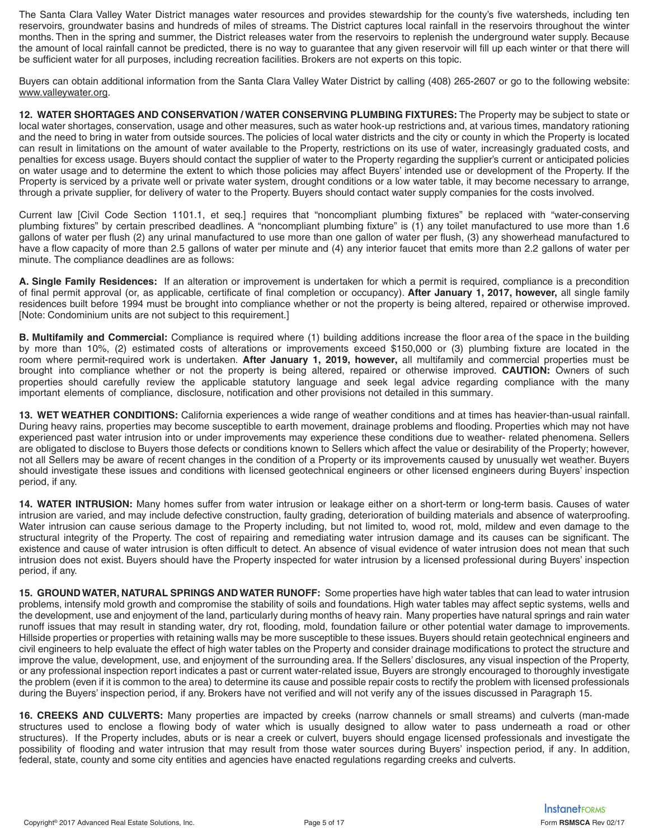The Santa Clara Valley Water District manages water resources and provides stewardship for the county's five watersheds, including ten reservoirs, groundwater basins and hundreds of miles of streams. The District captures local rainfall in the reservoirs throughout the winter months. Then in the spring and summer, the District releases water from the reservoirs to replenish the underground water supply. Because the amount of local rainfall cannot be predicted, there is no way to guarantee that any given reservoir will fill up each winter or that there will be sufficient water for all purposes, including recreation facilities. Brokers are not experts on this topic.

Buyers can obtain additional information from the Santa Clara Valley Water District by calling (408) 265-2607 or go to the following website: www.valleywater.org.

**12. WATER SHORTAGES AND CONSERVATION / WATER CONSERVING PLUMBING FIXTURES:** The Property may be subject to state or local water shortages, conservation, usage and other measures, such as water hook-up restrictions and, at various times, mandatory rationing and the need to bring in water from outside sources. The policies of local water districts and the city or county in which the Property is located can result in limitations on the amount of water available to the Property, restrictions on its use of water, increasingly graduated costs, and penalties for excess usage. Buyers should contact the supplier of water to the Property regarding the supplier's current or anticipated policies on water usage and to determine the extent to which those policies may affect Buyers' intended use or development of the Property. If the Property is serviced by a private well or private water system, drought conditions or a low water table, it may become necessary to arrange, through a private supplier, for delivery of water to the Property. Buyers should contact water supply companies for the costs involved.

Current law [Civil Code Section 101.1, et seq.] requires that "noncompliant plumbing fixtures" be replaced with "water-conserving plumbing fixtures" by certain prescribed deadlines. A "noncompliant plumbing fixture" is (1) any toilet manufactured to use more than 1.6 gallons of water per flush (2) any urinal manufactured to use more than one gallon of water per flush, (3) any showerhead manufactured to have a flow capacity of more than 2.5 gallons of water per minute and (4) any interior faucet that emits more than 2.2 gallons of water per minute. The compliance deadlines are as follows:

**A. Single Family Residences:** If an alteration or improvement is undertaken for which a permit is required, compliance is a precondition of final permit approval (or, as applicable, certificate of final completion or occupancy). **After January 1, 2017, however,** all single family residences built before 1994 must be brought into compliance whether or not the property is being altered, repaired or otherwise improved. [Note: Condominium units are not subject to this requirement.]

**B. Multifamily and Commercial:** Compliance is required where (1) building additions increase the floor area of the space in the building by more than 10%, (2) estimated costs of alterations or improvements exceed \$150,000 or (3) plumbing fixture are located in the room where permit-required work is undertaken. **After January 1, 201, however,** all multifamily and commercial properties must be brought into compliance whether or not the property is being altered, repaired or otherwise improved. **CAUTION:** Owners of such properties should carefully review the applicable statutory language and seek legal advice regarding compliance with the many important elements of compliance, disclosure, notification and other provisions not detailed in this summary.

**13. WET WEATHER CONDITIONS:** California experiences a wide range of weather conditions and at times has heavier-than-usual rainfall. During heavy rains, properties may become susceptible to earth movement, drainage problems and flooding. Properties which may not have experienced past water intrusion into or under improvements may experience these conditions due to weather- related phenomena. Sellers are obligated to disclose to Buyers those defects or conditions known to Sellers which affect the value or desirability of the Property; however, not all Sellers may be aware of recent changes in the condition of a Property or its improvements caused by unusually wet weather. Buyers should investigate these issues and conditions with licensed geotechnical engineers or other licensed engineers during Buyers' inspection period, if any.

**14. WATER INTRUSION:** Many homes suffer from water intrusion or leakage either on a short-term or long-term basis. Causes of water intrusion are varied, and may include defective construction, faulty grading, deterioration of building materials and absence of waterproofing. Water intrusion can cause serious damage to the Property including, but not limited to, wood rot, mold, mildew and even damage to the structural integrity of the Property. The cost of repairing and remediating water intrusion damage and its causes can be significant. The existence and cause of water intrusion is often difficult to detect. An absence of visual evidence of water intrusion does not mean that such intrusion does not exist. Buyers should have the Property inspected for water intrusion by a licensed professional during Buyers' inspection period, if any.

**15. GROUND WATER, NATURAL SPRINGS AND WATER RUNOFF:** Some properties have high water tables that can lead to water intrusion problems, intensify mold growth and compromise the stability of soils and foundations. High water tables may affect septic systems, wells and the development, use and enjoyment of the land, particularly during months of heavy rain. Many properties have natural springs and rain water runoff issues that may result in standing water, dry rot, flooding, mold, foundation failure or other potential water damage to improvements. Hillside properties or properties with retaining walls may be more susceptible to these issues. Buyers should retain geotechnical engineers and civil engineers to help evaluate the effect of high water tables on the Property and consider drainage modifications to protect the structure and improve the value, development, use, and enjoyment of the surrounding area. If the Sellers' disclosures, any visual inspection of the Property, or any professional inspection report indicates a past or current water-related issue, Buyers are strongly encouraged to thoroughly investigate the problem (even if it is common to the area) to determine its cause and possible repair costs to rectify the problem with licensed professionals during the Buyers' inspection period, if any. Brokers have not verified and will not verify any of the issues discussed in Paragraph 15.

**16. CREEKS AND CULVERTS:** Many properties are impacted by creeks (narrow channels or small streams) and culverts (man-made structures used to enclose a flowing body of water which is usually designed to allow water to pass underneath a road or other structures). If the Property includes, abuts or is near a creek or culvert, buyers should engage licensed professionals and investigate the possibility of flooding and water intrusion that may result from those water sources during Buyers' inspection period, if any. In addition, federal, state, county and some city entities and agencies have enacted regulations regarding creeks and culverts.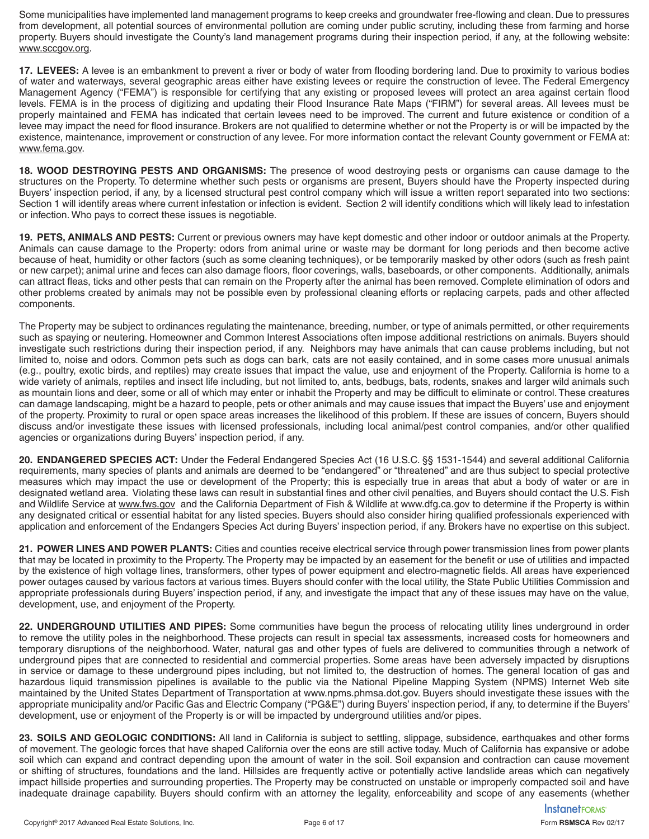Some municipalities have implemented land management programs to keep creeks and groundwater free-flowing and clean. Due to pressures from development, all potential sources of environmental pollution are coming under public scrutiny, including these from farming and horse property. Buyers should investigate the County's land management programs during their inspection period, if any, at the following website: www.sccgov.org.

**17. LEVEES:** A levee is an embankment to prevent a river or body of water from flooding bordering land. Due to proximity to various bodies of water and waterways, several geographic areas either have existing levees or require the construction of levee. The Federal Emergency Management Agency ("FEMA") is responsible for certifying that any existing or proposed levees will protect an area against certain flood levels. FEMA is in the process of digitizing and updating their Flood Insurance Rate Maps ("FIRM") for several areas. All levees must be properly maintained and FEMA has indicated that certain levees need to be improved. The current and future existence or condition of a levee may impact the need for flood insurance. Brokers are not qualified to determine whether or not the Property is or will be impacted by the existence, maintenance, improvement or construction of any levee. For more information contact the relevant County government or FEMA at: www.fema.gov.

**18. WOOD DESTROYING PESTS AND ORGANISMS:** The presence of wood destroying pests or organisms can cause damage to the structures on the Property. To determine whether such pests or organisms are present, Buyers should have the Property inspected during Buyers' inspection period, if any, by a licensed structural pest control company which will issue a written report separated into two sections: Section 1 will identify areas where current infestation or infection is evident. Section 2 will identify conditions which will likely lead to infestation or infection. Who pays to correct these issues is negotiable.

**19. PETS, ANIMALS AND PESTS:** Current or previous owners may have kept domestic and other indoor or outdoor animals at the Property. Animals can cause damage to the Property: odors from animal urine or waste may be dormant for long periods and then become active because of heat, humidity or other factors (such as some cleaning techniques), or be temporarily masked by other odors (such as fresh paint or new carpet); animal urine and feces can also damage floors, floor coverings, walls, baseboards, or other components. Additionally, animals can attract fleas, ticks and other pests that can remain on the Property after the animal has been removed. Complete elimination of odors and other problems created by animals may not be possible even by professional cleaning efforts or replacing carpets, pads and other affected components.

The Property may be subject to ordinances regulating the maintenance, breeding, number, or type of animals permitted, or other requirements such as spaying or neutering. Homeowner and Common Interest Associations often impose additional restrictions on animals. Buyers should investigate such restrictions during their inspection period, if any. Neighbors may have animals that can cause problems including, but not limited to, noise and odors. Common pets such as dogs can bark, cats are not easily contained, and in some cases more unusual animals (e.g., poultry, exotic birds, and reptiles) may create issues that impact the value, use and enjoyment of the Property. California is home to a wide variety of animals, reptiles and insect life including, but not limited to, ants, bedbugs, bats, rodents, snakes and larger wild animals such as mountain lions and deer, some or all of which may enter or inhabit the Property and may be difficult to eliminate or control. These creatures can damage landscaping, might be a hazard to people, pets or other animals and may cause issues that impact the Buyers' use and enjoyment of the property. Proximity to rural or open space areas increases the likelihood of this problem. If these are issues of concern, Buyers should discuss and/or investigate these issues with licensed professionals, including local animal/pest control companies, and/or other qualified agencies or organizations during Buyers' inspection period, if any.

**20. ENDANGERED SPECIES ACT:** Under the Federal Endangered Species Act (16 U.S.C. §§ 1531-1544) and several additional California requirements, many species of plants and animals are deemed to be "endangered" or "threatened" and are thus subject to special protective measures which may impact the use or development of the Property; this is especially true in areas that abut a body of water or are in designated wetland area. Violating these laws can result in substantial fines and other civil penalties, and Buyers should contact the U.S. Fish and Wildlife Service at www.fws.gov and the California Department of Fish & Wildlife at www.dfg.ca.gov to determine if the Property is within any designated critical or essential habitat for any listed species. Buyers should also consider hiring qualified professionals experienced with application and enforcement of the Endangers Species Act during Buyers' inspection period, if any. Brokers have no expertise on this subject.

**21. POWER LINES AND POWER PLANTS:** Cities and counties receive electrical service through power transmission lines from power plants that may be located in proximity to the Property. The Property may be impacted by an easement for the benefit or use of utilities and impacted by the existence of high voltage lines, transformers, other types of power equipment and electro-magnetic fields. All areas have experienced power outages caused by various factors at various times. Buyers should confer with the local utility, the State Public Utilities Commission and appropriate professionals during Buyers' inspection period, if any, and investigate the impact that any of these issues may have on the value, development, use, and enjoyment of the Property.

**22. UNDERGROUND UTILITIES AND PIPES:** Some communities have begun the process of relocating utility lines underground in order to remove the utility poles in the neighborhood. These projects can result in special tax assessments, increased costs for homeowners and temporary disruptions of the neighborhood. Water, natural gas and other types of fuels are delivered to communities through a network of underground pipes that are connected to residential and commercial properties. Some areas have been adversely impacted by disruptions in service or damage to these underground pipes including, but not limited to, the destruction of homes. The general location of gas and hazardous liquid transmission pipelines is available to the public via the National Pipeline Mapping System (NPMS) Internet Web site maintained by the United States Department of Transportation at www.npms.phmsa.dot.gov. Buyers should investigate these issues with the appropriate municipality and/or Pacific Gas and Electric Company ("PG&E") during Buyers' inspection period, if any, to determine if the Buyers' development, use or enjoyment of the Property is or will be impacted by underground utilities and/or pipes.

**23. SOILS AND GEOLOGIC CONDITIONS:** All land in California is subject to settling, slippage, subsidence, earthquakes and other forms of movement. The geologic forces that have shaped California over the eons are still active today. Much of California has expansive or adobe soil which can expand and contract depending upon the amount of water in the soil. Soil expansion and contraction can cause movement or shifting of structures, foundations and the land. Hillsides are frequently active or potentially active landslide areas which can negatively impact hillside properties and surrounding properties. The Property may be constructed on unstable or improperly compacted soil and have inadequate drainage capability. Buyers should confirm with an attorney the legality, enforceability and scope of any easements (whether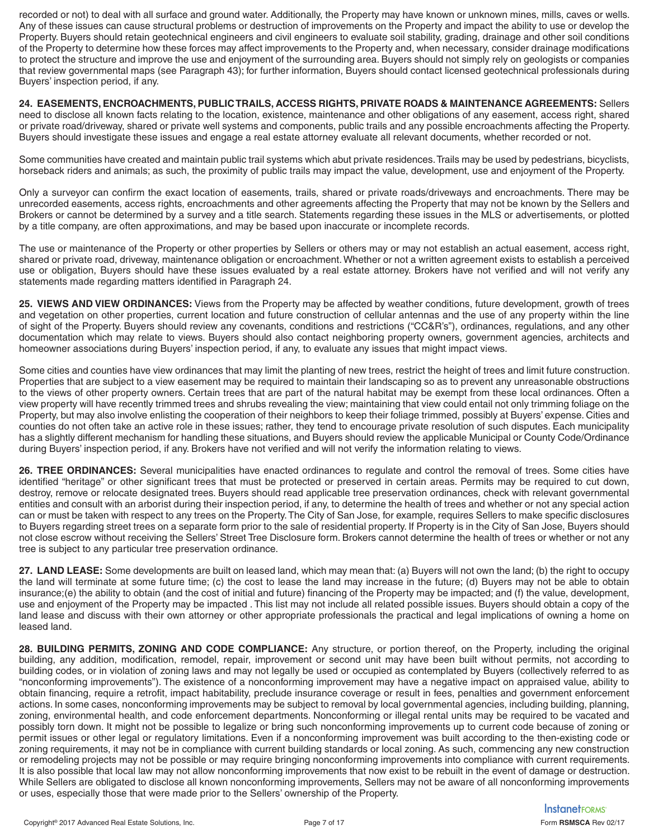recorded or not) to deal with all surface and ground water. Additionally, the Property may have known or unknown mines, mills, caves or wells. Any of these issues can cause structural problems or destruction of improvements on the Property and impact the ability to use or develop the Property. Buyers should retain geotechnical engineers and civil engineers to evaluate soil stability, grading, drainage and other soil conditions of the Property to determine how these forces may affect improvements to the Property and, when necessary, consider drainage modifications to protect the structure and improve the use and enjoyment of the surrounding area. Buyers should not simply rely on geologists or companies that review governmental maps (see Paragraph 43); for further information, Buyers should contact licensed geotechnical professionals during Buyers' inspection period, if any.

**24. EASEMENTS, ENCROACHMENTS, PUBLIC TRAILS, ACCESS RIGHTS, PRIVATE ROADS & MAINTENANCE AGREEMENTS:** Sellers need to disclose all known facts relating to the location, existence, maintenance and other obligations of any easement, access right, shared or private road/driveway, shared or private well systems and components, public trails and any possible encroachments affecting the Property. Buyers should investigate these issues and engage a real estate attorney evaluate all relevant documents, whether recorded or not.

Some communities have created and maintain public trail systems which abut private residences. Trails may be used by pedestrians, bicyclists, horseback riders and animals; as such, the proximity of public trails may impact the value, development, use and enjoyment of the Property.

Only a surveyor can confirm the exact location of easements, trails, shared or private roads/driveways and encroachments. There may be unrecorded easements, access rights, encroachments and other agreements affecting the Property that may not be known by the Sellers and Brokers or cannot be determined by a survey and a title search. Statements regarding these issues in the MLS or advertisements, or plotted by a title company, are often approximations, and may be based upon inaccurate or incomplete records.

The use or maintenance of the Property or other properties by Sellers or others may or may not establish an actual easement, access right, shared or private road, driveway, maintenance obligation or encroachment. Whether or not a written agreement exists to establish a perceived use or obligation, Buyers should have these issues evaluated by a real estate attorney. Brokers have not verified and will not verify any statements made regarding matters identified in Paragraph 24.

**25. VIEWS AND VIEW ORDINANCES:** Views from the Property may be affected by weather conditions, future development, growth of trees and vegetation on other properties, current location and future construction of cellular antennas and the use of any property within the line of sight of the Property. Buyers should review any covenants, conditions and restrictions ("CC&R's"), ordinances, regulations, and any other documentation which may relate to views. Buyers should also contact neighboring property owners, government agencies, architects and homeowner associations during Buyers' inspection period, if any, to evaluate any issues that might impact views.

Some cities and counties have view ordinances that may limit the planting of new trees, restrict the height of trees and limit future construction. Properties that are subject to a view easement may be required to maintain their landscaping so as to prevent any unreasonable obstructions to the views of other property owners. Certain trees that are part of the natural habitat may be exempt from these local ordinances. Often a view property will have recently trimmed trees and shrubs revealing the view; maintaining that view could entail not only trimming foliage on the Property, but may also involve enlisting the cooperation of their neighbors to keep their foliage trimmed, possibly at Buyers' expense. Cities and counties do not often take an active role in these issues; rather, they tend to encourage private resolution of such disputes. Each municipality has a slightly different mechanism for handling these situations, and Buyers should review the applicable Municipal or County Code/Ordinance during Buyers' inspection period, if any. Brokers have not verified and will not verify the information relating to views.

**26. TREE ORDINANCES:** Several municipalities have enacted ordinances to regulate and control the removal of trees. Some cities have identified "heritage" or other significant trees that must be protected or preserved in certain areas. Permits may be required to cut down, destroy, remove or relocate designated trees. Buyers should read applicable tree preservation ordinances, check with relevant governmental entities and consult with an arborist during their inspection period, if any, to determine the health of trees and whether or not any special action can or must be taken with respect to any trees on the Property. The City of San Jose, for example, requires Sellers to make specific disclosures to Buyers regarding street trees on a separate form prior to the sale of residential property. If Property is in the City of San Jose, Buyers should not close escrow without receiving the Sellers' Street Tree Disclosure form. Brokers cannot determine the health of trees or whether or not any tree is subject to any particular tree preservation ordinance.

**27. LAND LEASE:** Some developments are built on leased land, which may mean that: (a) Buyers will not own the land; (b) the right to occupy the land will terminate at some future time; (c) the cost to lease the land may increase in the future; (d) Buyers may not be able to obtain insurance;(e) the ability to obtain (and the cost of initial and future) financing of the Property may be impacted; and (f) the value, development, use and enjoyment of the Property may be impacted . This list may not include all related possible issues. Buyers should obtain a copy of the land lease and discuss with their own attorney or other appropriate professionals the practical and legal implications of owning a home on leased land.

**28. BUILDING PERMITS, ZONING AND CODE COMPLIANCE:** Any structure, or portion thereof, on the Property, including the original building, any addition, modification, remodel, repair, improvement or second unit may have been built without permits, not according to building codes, or in violation of zoning laws and may not legally be used or occupied as contemplated by Buyers (collectively referred to as "nonconforming improvements"). The existence of a nonconforming improvement may have a negative impact on appraised value, ability to obtain financing, require a retrofit, impact habitability, preclude insurance coverage or result in fees, penalties and government enforcement actions. In some cases, nonconforming improvements may be subject to removal by local governmental agencies, including building, planning, zoning, environmental health, and code enforcement departments. Nonconforming or illegal rental units may be required to be vacated and possibly torn down. It might not be possible to legalize or bring such nonconforming improvements up to current code because of zoning or permit issues or other legal or regulatory limitations. Even if a nonconforming improvement was built according to the then-existing code or zoning requirements, it may not be in compliance with current building standards or local zoning. As such, commencing any new construction or remodeling projects may not be possible or may require bringing nonconforming improvements into compliance with current requirements. It is also possible that local law may not allow nonconforming improvements that now exist to be rebuilt in the event of damage or destruction. While Sellers are obligated to disclose all known nonconforming improvements, Sellers may not be aware of all nonconforming improvements or uses, especially those that were made prior to the Sellers' ownership of the Property.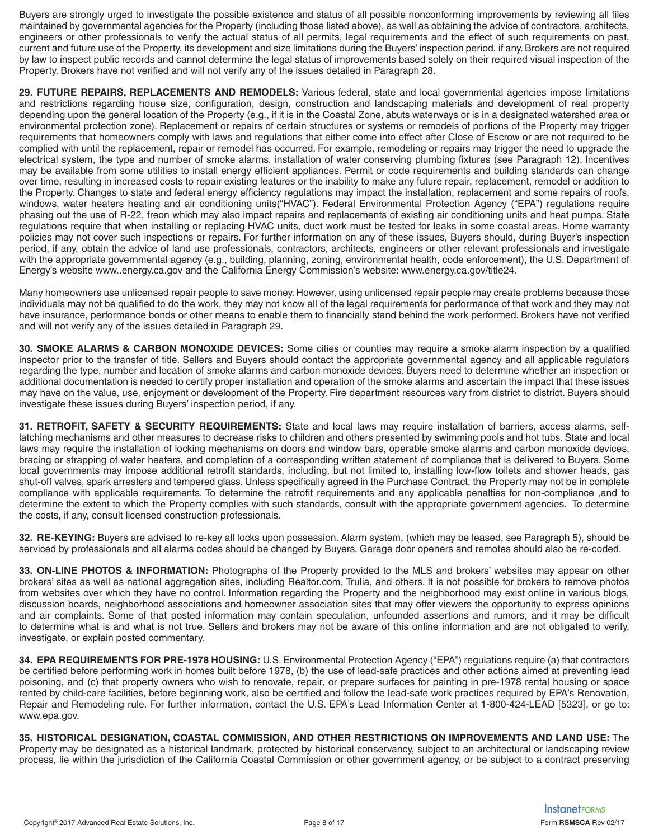Buyers are strongly urged to investigate the possible existence and status of all possible nonconforming improvements by reviewing all files maintained by governmental agencies for the Property (including those listed above), as well as obtaining the advice of contractors, architects, engineers or other professionals to verify the actual status of all permits, legal requirements and the effect of such requirements on past, current and future use of the Property, its development and size limitations during the Buyers' inspection period, if any. Brokers are not required by law to inspect public records and cannot determine the legal status of improvements based solely on their required visual inspection of the Property. Brokers have not verified and will not verify any of the issues detailed in Paragraph 28.

**29. FUTURE REPAIRS, REPLACEMENTS AND REMODELS:** Various federal, state and local governmental agencies impose limitations and restrictions regarding house size, configuration, design, construction and landscaping materials and development of real property depending upon the general location of the Property (e.g., if it is in the Coastal Zone, abuts waterways or is in a designated watershed area or environmental protection zone). Replacement or repairs of certain structures or systems or remodels of portions of the Property may trigger requirements that homeowners comply with laws and regulations that either come into effect after Close of Escrow or are not required to be complied with until the replacement, repair or remodel has occurred. For example, remodeling or repairs may trigger the need to upgrade the electrical system, the type and number of smoke alarms, installation of water conserving plumbing fixtures (see Paragraph 12). Incentives may be available from some utilities to install energy efficient appliances. Permit or code requirements and building standards can change over time, resulting in increased costs to repair existing features or the inability to make any future repair, replacement, remodel or addition to the Property. Changes to state and federal energy efficiency regulations may impact the installation, replacement and some repairs of roofs, windows, water heaters heating and air conditioning units("HVAC"). Federal Environmental Protection Agency ("EPA") regulations require phasing out the use of R-22, freon which may also impact repairs and replacements of existing air conditioning units and heat pumps. State regulations require that when installing or replacing HVAC units, duct work must be tested for leaks in some coastal areas. Home warranty policies may not cover such inspections or repairs. For further information on any of these issues, Buyers should, during Buyer's inspection period, if any, obtain the advice of land use professionals, contractors, architects, engineers or other relevant professionals and investigate with the appropriate governmental agency (e.g., building, planning, zoning, environmental health, code enforcement), the U.S. Department of Energy's website www..energy.ca.gov and the California Energy Commission's website: www.energy.ca.gov/title24.

Many homeowners use unlicensed repair people to save money. However, using unlicensed repair people may create problems because those individuals may not be qualified to do the work, they may not know all of the legal requirements for performance of that work and they may not have insurance, performance bonds or other means to enable them to financially stand behind the work performed. Brokers have not verified and will not verify any of the issues detailed in Paragraph 29.

**30. SMOKE ALARMS & CARBON MONOXIDE DEVICES:** Some cities or counties may require a smoke alarm inspection by a qualified inspector prior to the transfer of title. Sellers and Buyers should contact the appropriate governmental agency and all applicable regulators regarding the type, number and location of smoke alarms and carbon monoxide devices. Buyers need to determine whether an inspection or additional documentation is needed to certify proper installation and operation of the smoke alarms and ascertain the impact that these issues may have on the value, use, enjoyment or development of the Property. Fire department resources vary from district to district. Buyers should investigate these issues during Buyers' inspection period, if any.

**31. RETROFIT, SAFETY & SECURITY REQUIREMENTS:** State and local laws may require installation of barriers, access alarms, selflatching mechanisms and other measures to decrease risks to children and others presented by swimming pools and hot tubs. State and local laws may require the installation of locking mechanisms on doors and window bars, operable smoke alarms and carbon monoxide devices, bracing or strapping of water heaters, and completion of a corresponding written statement of compliance that is delivered to Buyers. Some local governments may impose additional retrofit standards, including, but not limited to, installing low-flow toilets and shower heads, gas shut-off valves, spark arresters and tempered glass. Unless specifically agreed in the Purchase Contract, the Property may not be in complete compliance with applicable requirements. To determine the retrofit requirements and any applicable penalties for non-compliance ,and to determine the extent to which the Property complies with such standards, consult with the appropriate government agencies. To determine the costs, if any, consult licensed construction professionals.

**32. RE-KEYING:** Buyers are advised to re-key all locks upon possession. Alarm system, (which may be leased, see Paragraph 5), should be serviced by professionals and all alarms codes should be changed by Buyers. Garage door openers and remotes should also be re-coded.

**33. ON-LINE PHOTOS & INFORMATION:** Photographs of the Property provided to the MLS and brokers' websites may appear on other brokers' sites as well as national aggregation sites, including Realtor.com, Trulia, and others. It is not possible for brokers to remove photos from websites over which they have no control. Information regarding the Property and the neighborhood may exist online in various blogs, discussion boards, neighborhood associations and homeowner association sites that may offer viewers the opportunity to express opinions and air complaints. Some of that posted information may contain speculation, unfounded assertions and rumors, and it may be difficult to determine what is and what is not true. Sellers and brokers may not be aware of this online information and are not obligated to verify, investigate, or explain posted commentary.

**34. EPA REQUIREMENTS FOR PRE-1978 HOUSING:** U.S. Environmental Protection Agency ("EPA") regulations require (a) that contractors be certified before performing work in homes built before 1978, (b) the use of lead-safe practices and other actions aimed at preventing lead poisoning, and (c) that property owners who wish to renovate, repair, or prepare surfaces for painting in pre-1978 rental housing or space rented by child-care facilities, before beginning work, also be certified and follow the lead-safe work practices required by EPA's Renovation, Repair and Remodeling rule. For further information, contact the U.S. EPA's Lead Information Center at 1-800-424-LEAD [5323], or go to: www.epa.gov.

**35. HISTORICAL DESIGNATION, COASTAL COMMISSION, AND OTHER RESTRICTIONS ON IMPROVEMENTS AND LAND USE:** The Property may be designated as a historical landmark, protected by historical conservancy, subject to an architectural or landscaping review process, lie within the jurisdiction of the California Coastal Commission or other government agency, or be subject to a contract preserving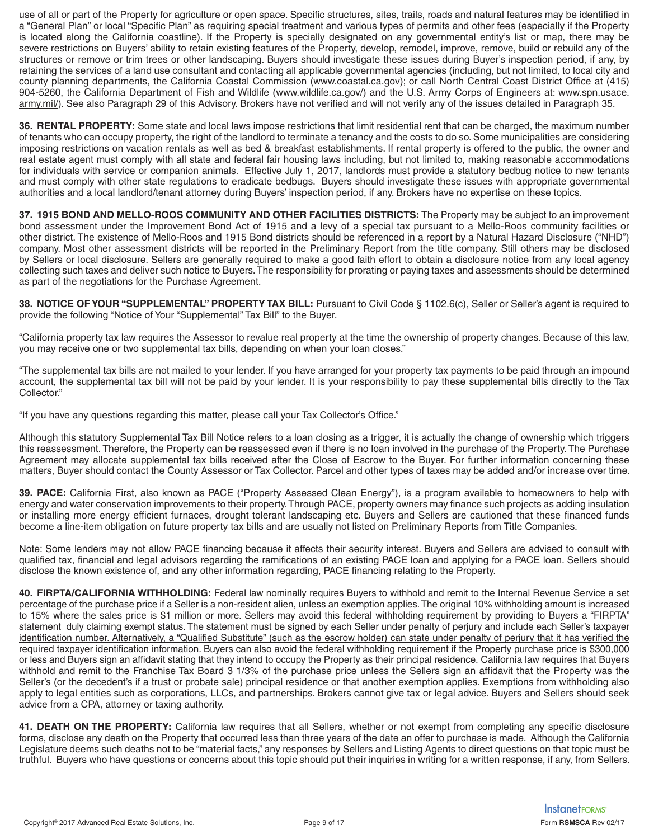use of all or part of the Property for agriculture or open space. Specific structures, sites, trails, roads and natural features may be identified in a "General Plan" or local "Specific Plan" as requiring special treatment and various types of permits and other fees (especially if the Property is located along the California coastline). If the Property is specially designated on any governmental entity's list or map, there may be severe restrictions on Buyers' ability to retain existing features of the Property, develop, remodel, improve, remove, build or rebuild any of the structures or remove or trim trees or other landscaping. Buyers should investigate these issues during Buyer's inspection period, if any, by retaining the services of a land use consultant and contacting all applicable governmental agencies (including, but not limited, to local city and county planning departments, the California Coastal Commission (www.coastal.ca.gov); or call North Central Coast District Office at (415) 904-5260, the California Department of Fish and Wildlife (www.wildlife.ca.gov/) and the U.S. Army Corps of Engineers at: www.spn.usace. army.mil/). See also Paragraph 29 of this Advisory. Brokers have not verified and will not verify any of the issues detailed in Paragraph 35.

**36. RENTAL PROPERTY:** Some state and local laws impose restrictions that limit residential rent that can be charged, the maximum number of tenants who can occupy property, the right of the landlord to terminate a tenancy and the costs to do so. Some municipalities are considering imposing restrictions on vacation rentals as well as bed & breakfast establishments. If rental property is offered to the public, the owner and real estate agent must comply with all state and federal fair housing laws including, but not limited to, making reasonable accommodations for individuals with service or companion animals. Effective July 1, 2017, landlords must provide a statutory bedbug notice to new tenants and must comply with other state regulations to eradicate bedbugs. Buyers should investigate these issues with appropriate governmental authorities and a local landlord/tenant attorney during Buyers' inspection period, if any. Brokers have no expertise on these topics.

**37. 1915 BOND AND MELLO-ROOS COMMUNITY AND OTHER FACILITIES DISTRICTS:** The Property may be subject to an improvement bond assessment under the Improvement Bond Act of 1915 and a levy of a special tax pursuant to a Mello-Roos community facilities or other district. The existence of Mello-Roos and 1915 Bond districts should be referenced in a report by a Natural Hazard Disclosure ("NHD") company. Most other assessment districts will be reported in the Preliminary Report from the title company. Still others may be disclosed by Sellers or local disclosure. Sellers are generally required to make a good faith effort to obtain a disclosure notice from any local agency collecting such taxes and deliver such notice to Buyers. The responsibility for prorating or paying taxes and assessments should be determined as part of the negotiations for the Purchase Agreement.

**38. NOTICE OF YOUR "SUPPLEMENTAL" PROPERTY TAX BILL:** Pursuant to Civil Code § 1102.6(c), Seller or Seller's agent is required to provide the following "Notice of Your "Supplemental" Tax Bill" to the Buyer.

"California property tax law requires the Assessor to revalue real property at the time the ownership of property changes. Because of this law, you may receive one or two supplemental tax bills, depending on when your loan closes."

"The supplemental tax bills are not mailed to your lender. If you have arranged for your property tax payments to be paid through an impound account, the supplemental tax bill will not be paid by your lender. It is your responsibility to pay these supplemental bills directly to the Tax Collector."

"If you have any questions regarding this matter, please call your Tax Collector's Office."

Although this statutory Supplemental Tax Bill Notice refers to a loan closing as a trigger, it is actually the change of ownership which triggers this reassessment. Therefore, the Property can be reassessed even if there is no loan involved in the purchase of the Property. The Purchase Agreement may allocate supplemental tax bills received after the Close of Escrow to the Buyer. For further information concerning these matters, Buyer should contact the County Assessor or Tax Collector. Parcel and other types of taxes may be added and/or increase over time.

**39. PACE:** California First, also known as PACE ("Property Assessed Clean Energy"), is a program available to homeowners to help with energy and water conservation improvements to their property. Through PACE, property owners may finance such projects as adding insulation or installing more energy efficient furnaces, drought tolerant landscaping etc. Buyers and Sellers are cautioned that these financed funds become a line-item obligation on future property tax bills and are usually not listed on Preliminary Reports from Title Companies.

Note: Some lenders may not allow PACE financing because it affects their security interest. Buyers and Sellers are advised to consult with qualified tax, financial and legal advisors regarding the ramifications of an existing PACE loan and applying for a PACE loan. Sellers should disclose the known existence of, and any other information regarding, PACE financing relating to the Property.

**40. FIRPTA/CALIFORNIA WITHHOLDING:** Federal law nominally requires Buyers to withhold and remit to the Internal Revenue Service a set percentage of the purchase price if a Seller is a non-resident alien, unless an exemption applies. The original 10% withholding amount is increased to 15% where the sales price is \$1 million or more. Sellers may avoid this federal withholding requirement by providing to Buyers a "FIRPTA" statement duly claiming exempt status. The statement must be signed by each Seller under penalty of perjury and include each Seller's taxpayer identification number. Alternatively, a "Qualified Substitute" (such as the escrow holder) can state under penalty of perjury that it has verified the required taxpayer identification information. Buyers can also avoid the federal withholding requirement if the Property purchase price is \$300,000 or less and Buyers sign an affidavit stating that they intend to occupy the Property as their principal residence. California law requires that Buyers withhold and remit to the Franchise Tax Board 3 1/3% of the purchase price unless the Sellers sign an affidavit that the Property was the Seller's (or the decedent's if a trust or probate sale) principal residence or that another exemption applies. Exemptions from withholding also apply to legal entities such as corporations, LLCs, and partnerships. Brokers cannot give tax or legal advice. Buyers and Sellers should seek advice from a CPA, attorney or taxing authority.

**41. DEATH ON THE PROPERTY:** California law requires that all Sellers, whether or not exempt from completing any specific disclosure forms, disclose any death on the Property that occurred less than three years of the date an offer to purchase is made. Although the California Legislature deems such deaths not to be "material facts," any responses by Sellers and Listing Agents to direct questions on that topic must be truthful. Buyers who have questions or concerns about this topic should put their inquiries in writing for a written response, if any, from Sellers.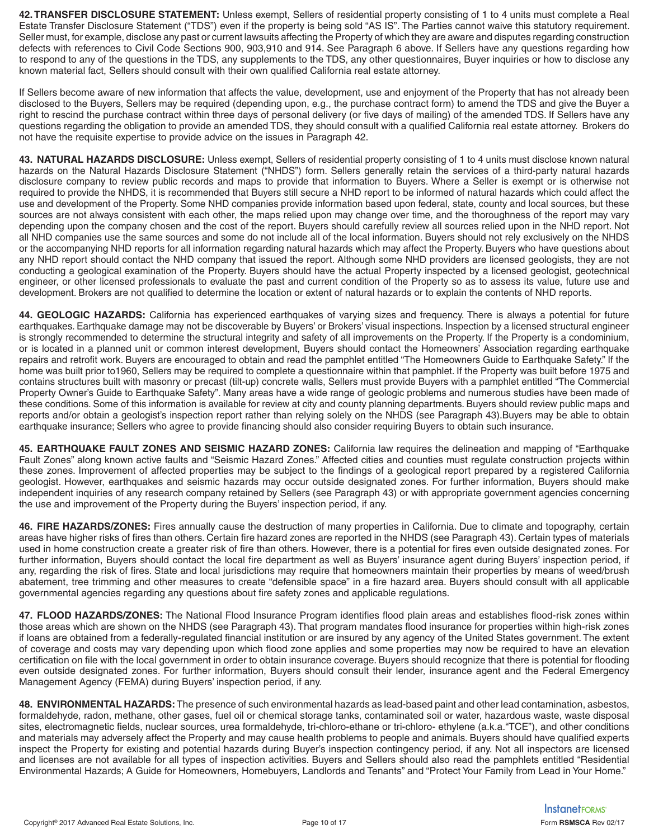**42. TRANSFER DISCLOSURE STATEMENT:** Unless exempt, Sellers of residential property consisting of 1 to 4 units must complete a Real Estate Transfer Disclosure Statement ("TDS") even if the property is being sold "AS IS". The Parties cannot waive this statutory requirement. Seller must, for example, disclose any past or current lawsuits affecting the Property of which they are aware and disputes regarding construction defects with references to Civil Code Sections 900, 903,910 and 914. See Paragraph 6 above. If Sellers have any questions regarding how to respond to any of the questions in the TDS, any supplements to the TDS, any other questionnaires, Buyer inquiries or how to disclose any known material fact, Sellers should consult with their own qualified California real estate attorney.

If Sellers become aware of new information that affects the value, development, use and enjoyment of the Property that has not already been disclosed to the Buyers, Sellers may be required (depending upon, e.g., the purchase contract form) to amend the TDS and give the Buyer a right to rescind the purchase contract within three days of personal delivery (or five days of mailing) of the amended TDS. If Sellers have any questions regarding the obligation to provide an amended TDS, they should consult with a qualified California real estate attorney. Brokers do not have the requisite expertise to provide advice on the issues in Paragraph 42.

**43. NATURAL HAZARDS DISCLOSURE:** Unless exempt, Sellers of residential property consisting of 1 to 4 units must disclose known natural hazards on the Natural Hazards Disclosure Statement ("NHDS") form. Sellers generally retain the services of a third-party natural hazards disclosure company to review public records and maps to provide that information to Buyers. Where a Seller is exempt or is otherwise not required to provide the NHDS, it is recommended that Buyers still secure a NHD report to be informed of natural hazards which could affect the use and development of the Property. Some NHD companies provide information based upon federal, state, county and local sources, but these sources are not always consistent with each other, the maps relied upon may change over time, and the thoroughness of the report may vary depending upon the company chosen and the cost of the report. Buyers should carefully review all sources relied upon in the NHD report. Not all NHD companies use the same sources and some do not include all of the local information. Buyers should not rely exclusively on the NHDS or the accompanying NHD reports for all information regarding natural hazards which may affect the Property. Buyers who have questions about any NHD report should contact the NHD company that issued the report. Although some NHD providers are licensed geologists, they are not conducting a geological examination of the Property. Buyers should have the actual Property inspected by a licensed geologist, geotechnical engineer, or other licensed professionals to evaluate the past and current condition of the Property so as to assess its value, future use and development. Brokers are not qualified to determine the location or extent of natural hazards or to explain the contents of NHD reports.

**44. GEOLOGIC HAZARDS:** California has experienced earthquakes of varying sizes and frequency. There is always a potential for future earthquakes. Earthquake damage may not be discoverable by Buyers' or Brokers' visual inspections. Inspection by a licensed structural engineer is strongly recommended to determine the structural integrity and safety of all improvements on the Property. If the Property is a condominium, or is located in a planned unit or common interest development, Buyers should contact the Homeowners' Association regarding earthquake repairs and retrofit work. Buyers are encouraged to obtain and read the pamphlet entitled "The Homeowners Guide to Earthquake Safety." If the home was built prior to1960, Sellers may be required to complete a questionnaire within that pamphlet. If the Property was built before 1975 and contains structures built with masonry or precast (tilt-up) concrete walls, Sellers must provide Buyers with a pamphlet entitled "The Commercial Property Owner's Guide to Earthquake Safety". Many areas have a wide range of geologic problems and numerous studies have been made of these conditions. Some of this information is available for review at city and county planning departments. Buyers should review public maps and reports and/or obtain a geologist's inspection report rather than relying solely on the NHDS (see Paragraph 43).Buyers may be able to obtain earthquake insurance; Sellers who agree to provide financing should also consider requiring Buyers to obtain such insurance.

**45. EARTHQUAKE FAULT ZONES AND SEISMIC HAZARD ZONES:** California law requires the delineation and mapping of "Earthquake Fault Zones" along known active faults and "Seismic Hazard Zones." Affected cities and counties must regulate construction projects within these zones. Improvement of affected properties may be subject to the findings of a geological report prepared by a registered California geologist. However, earthquakes and seismic hazards may occur outside designated zones. For further information, Buyers should make independent inquiries of any research company retained by Sellers (see Paragraph 43) or with appropriate government agencies concerning the use and improvement of the Property during the Buyers' inspection period, if any.

**46. FIRE HAZARDS/ZONES:** Fires annually cause the destruction of many properties in California. Due to climate and topography, certain areas have higher risks of fires than others. Certain fire hazard zones are reported in the NHDS (see Paragraph 43). Certain types of materials used in home construction create a greater risk of fire than others. However, there is a potential for fires even outside designated zones. For further information, Buyers should contact the local fire department as well as Buyers' insurance agent during Buyers' inspection period, if any, regarding the risk of fires. State and local jurisdictions may require that homeowners maintain their properties by means of weed/brush abatement, tree trimming and other measures to create "defensible space" in a fire hazard area. Buyers should consult with all applicable governmental agencies regarding any questions about fire safety zones and applicable regulations.

**47. FLOOD HAZARDS/ZONES:** The National Flood Insurance Program identifies flood plain areas and establishes flood-risk zones within those areas which are shown on the NHDS (see Paragraph 43). That program mandates flood insurance for properties within high-risk zones if loans are obtained from a federally-regulated financial institution or are insured by any agency of the United States government. The extent of coverage and costs may vary depending upon which flood zone applies and some properties may now be required to have an elevation certification on file with the local government in order to obtain insurance coverage. Buyers should recognize that there is potential for flooding even outside designated zones. For further information, Buyers should consult their lender, insurance agent and the Federal Emergency Management Agency (FEMA) during Buyers' inspection period, if any.

**48. ENVIRONMENTAL HAZARDS:** The presence of such environmental hazards as lead-based paint and other lead contamination, asbestos, formaldehyde, radon, methane, other gases, fuel oil or chemical storage tanks, contaminated soil or water, hazardous waste, waste disposal sites, electromagnetic fields, nuclear sources, urea formaldehyde, tri-chloro-ethane or tri-chloro- ethylene (a.k.a."TCE"), and other conditions and materials may adversely affect the Property and may cause health problems to people and animals. Buyers should have qualified experts inspect the Property for existing and potential hazards during Buyer's inspection contingency period, if any. Not all inspectors are licensed and licenses are not available for all types of inspection activities. Buyers and Sellers should also read the pamphlets entitled "Residential Environmental Hazards; A Guide for Homeowners, Homebuyers, Landlords and Tenants" and "Protect Your Family from Lead in Your Home."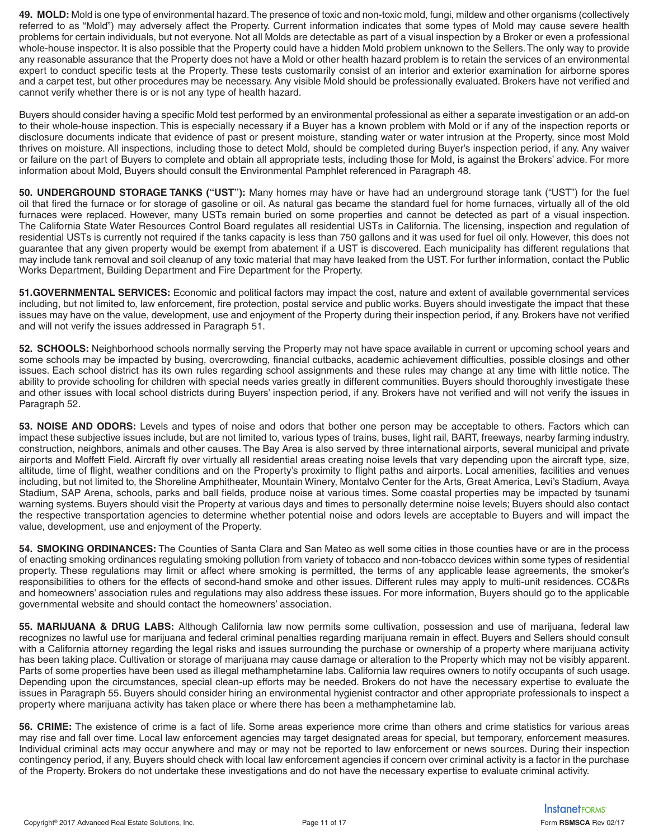**49. MOLD:** Mold is one type of environmental hazard. The presence of toxic and non-toxic mold, fungi, mildew and other organisms (collectively referred to as "Mold") may adversely affect the Property. Current information indicates that some types of Mold may cause severe health problems for certain individuals, but not everyone. Not all Molds are detectable as part of a visual inspection by a Broker or even a professional whole-house inspector. It is also possible that the Property could have a hidden Mold problem unknown to the Sellers. The only way to provide any reasonable assurance that the Property does not have a Mold or other health hazard problem is to retain the services of an environmental expert to conduct specific tests at the Property. These tests customarily consist of an interior and exterior examination for airborne spores and a carpet test, but other procedures may be necessary. Any visible Mold should be professionally evaluated. Brokers have not verified and cannot verify whether there is or is not any type of health hazard.

Buyers should consider having a specific Mold test performed by an environmental professional as either a separate investigation or an add-on to their whole-house inspection. This is especially necessary if a Buyer has a known problem with Mold or if any of the inspection reports or disclosure documents indicate that evidence of past or present moisture, standing water or water intrusion at the Property, since most Mold thrives on moisture. All inspections, including those to detect Mold, should be completed during Buyer's inspection period, if any. Any waiver or failure on the part of Buyers to complete and obtain all appropriate tests, including those for Mold, is against the Brokers' advice. For more information about Mold, Buyers should consult the Environmental Pamphlet referenced in Paragraph 48.

**50. UNDERGROUND STORAGE TANKS ("UST"):** Many homes may have or have had an underground storage tank ("UST") for the fuel oil that fired the furnace or for storage of gasoline or oil. As natural gas became the standard fuel for home furnaces, virtually all of the old furnaces were replaced. However, many USTs remain buried on some properties and cannot be detected as part of a visual inspection. The California State Water Resources Control Board regulates all residential USTs in California. The licensing, inspection and regulation of residential USTs is currently not required if the tanks capacity is less than 750 gallons and it was used for fuel oil only. However, this does not guarantee that any given property would be exempt from abatement if a UST is discovered. Each municipality has different regulations that may include tank removal and soil cleanup of any toxic material that may have leaked from the UST. For further information, contact the Public Works Department, Building Department and Fire Department for the Property.

**51.GOVERNMENTAL SERVICES:** Economic and political factors may impact the cost, nature and extent of available governmental services including, but not limited to, law enforcement, fire protection, postal service and public works. Buyers should investigate the impact that these issues may have on the value, development, use and enjoyment of the Property during their inspection period, if any. Brokers have not verified and will not verify the issues addressed in Paragraph 51.

**52. SCHOOLS:** Neighborhood schools normally serving the Property may not have space available in current or upcoming school years and some schools may be impacted by busing, overcrowding, financial cutbacks, academic achievement difficulties, possible closings and other issues. Each school district has its own rules regarding school assignments and these rules may change at any time with little notice. The ability to provide schooling for children with special needs varies greatly in different communities. Buyers should thoroughly investigate these and other issues with local school districts during Buyers' inspection period, if any. Brokers have not verified and will not verify the issues in Paragraph 52.

**53. NOISE AND ODORS:** Levels and types of noise and odors that bother one person may be acceptable to others. Factors which can impact these subjective issues include, but are not limited to, various types of trains, buses, light rail, BART, freeways, nearby farming industry, construction, neighbors, animals and other causes. The Bay Area is also served by three international airports, several municipal and private airports and Moffett Field. Aircraft fly over virtually all residential areas creating noise levels that vary depending upon the aircraft type, size, altitude, time of flight, weather conditions and on the Property's proximity to flight paths and airports. Local amenities, facilities and venues including, but not limited to, the Shoreline Amphitheater, Mountain Winery, Montalvo Center for the Arts, Great America, Levi's Stadium, Avaya Stadium, SAP Arena, schools, parks and ball fields, produce noise at various times. Some coastal properties may be impacted by tsunami warning systems. Buyers should visit the Property at various days and times to personally determine noise levels; Buyers should also contact the respective transportation agencies to determine whether potential noise and odors levels are acceptable to Buyers and will impact the value, development, use and enjoyment of the Property.

**54. SMOKING ORDINANCES:** The Counties of Santa Clara and San Mateo as well some cities in those counties have or are in the process of enacting smoking ordinances regulating smoking pollution from variety of tobacco and non-tobacco devices within some types of residential property. These regulations may limit or affect where smoking is permitted, the terms of any applicable lease agreements, the smoker's responsibilities to others for the effects of second-hand smoke and other issues. Different rules may apply to multi-unit residences. CC&Rs and homeowners' association rules and regulations may also address these issues. For more information, Buyers should go to the applicable governmental website and should contact the homeowners' association.

**55. MARIJUANA & DRUG LABS:** Although California law now permits some cultivation, possession and use of marijuana, federal law recognizes no lawful use for marijuana and federal criminal penalties regarding marijuana remain in effect. Buyers and Sellers should consult with a California attorney regarding the legal risks and issues surrounding the purchase or ownership of a property where marijuana activity has been taking place. Cultivation or storage of marijuana may cause damage or alteration to the Property which may not be visibly apparent. Parts of some properties have been used as illegal methamphetamine labs. California law requires owners to notify occupants of such usage. Depending upon the circumstances, special clean-up efforts may be needed. Brokers do not have the necessary expertise to evaluate the issues in Paragraph 55. Buyers should consider hiring an environmental hygienist contractor and other appropriate professionals to inspect a property where marijuana activity has taken place or where there has been a methamphetamine lab.

**56. CRIME:** The existence of crime is a fact of life. Some areas experience more crime than others and crime statistics for various areas may rise and fall over time. Local law enforcement agencies may target designated areas for special, but temporary, enforcement measures. Individual criminal acts may occur anywhere and may or may not be reported to law enforcement or news sources. During their inspection contingency period, if any, Buyers should check with local law enforcement agencies if concern over criminal activity is a factor in the purchase of the Property. Brokers do not undertake these investigations and do not have the necessary expertise to evaluate criminal activity.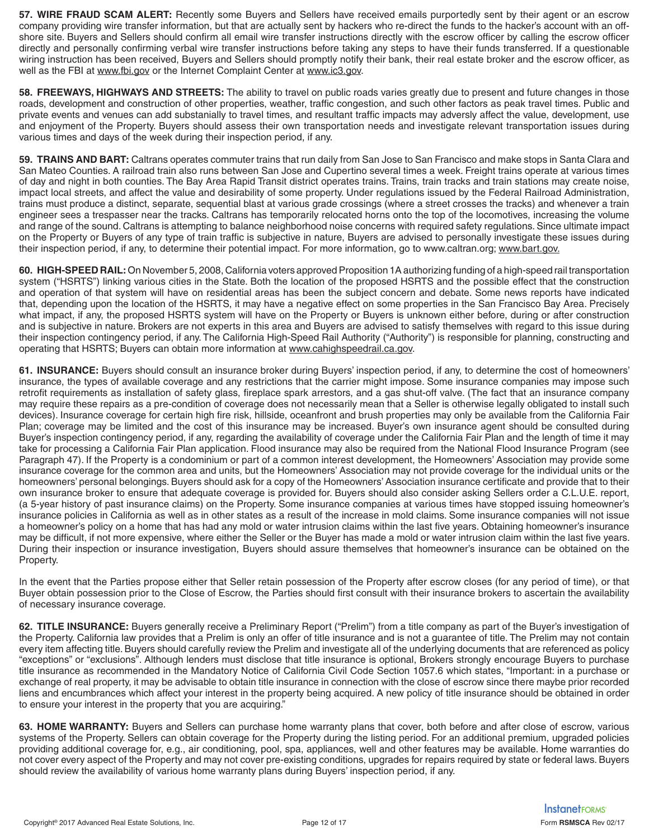**57. WIRE FRAUD SCAM ALERT:** Recently some Buyers and Sellers have received emails purportedly sent by their agent or an escrow company providing wire transfer information, but that are actually sent by hackers who re-direct the funds to the hacker's account with an offshore site. Buyers and Sellers should confirm all email wire transfer instructions directly with the escrow officer by calling the escrow officer directly and personally confirming verbal wire transfer instructions before taking any steps to have their funds transferred. If a questionable wiring instruction has been received, Buyers and Sellers should promptly notify their bank, their real estate broker and the escrow officer, as well as the FBI at www.fbi.gov or the Internet Complaint Center at www.ic3.gov.

**58. FREEWAYS, HIGHWAYS AND STREETS:** The ability to travel on public roads varies greatly due to present and future changes in those roads, development and construction of other properties, weather, traffic congestion, and such other factors as peak travel times. Public and private events and venues can add substanially to travel times, and resultant traffic impacts may adversly affect the value, development, use and enjoyment of the Property. Buyers should assess their own transportation needs and investigate relevant transportation issues during various times and days of the week during their inspection period, if any.

**59. TRAINS AND BART:** Caltrans operates commuter trains that run daily from San Jose to San Francisco and make stops in Santa Clara and San Mateo Counties. A railroad train also runs between San Jose and Cupertino several times a week. Freight trains operate at various times of day and night in both counties. The Bay Area Rapid Transit district operates trains. Trains, train tracks and train stations may create noise, impact local streets, and affect the value and desirability of some property. Under regulations issued by the Federal Railroad Administration, trains must produce a distinct, separate, sequential blast at various grade crossings (where a street crosses the tracks) and whenever a train engineer sees a trespasser near the tracks. Caltrans has temporarily relocated horns onto the top of the locomotives, increasing the volume and range of the sound. Caltrans is attempting to balance neighborhood noise concerns with required safety regulations. Since ultimate impact on the Property or Buyers of any type of train traffic is subjective in nature, Buyers are advised to personally investigate these issues during their inspection period, if any, to determine their potential impact. For more information, go to www.caltran.org; www.bart.gov.

**60. HIGH-SPEED RAIL:** On November 5, 2008, California voters approved Proposition 1A authorizing funding of a high-speed rail transportation system ("HSRTS") linking various cities in the State. Both the location of the proposed HSRTS and the possible effect that the construction and operation of that system will have on residential areas has been the subject concern and debate. Some news reports have indicated that, depending upon the location of the HSRTS, it may have a negative effect on some properties in the San Francisco Bay Area. Precisely what impact, if any, the proposed HSRTS system will have on the Property or Buyers is unknown either before, during or after construction and is subjective in nature. Brokers are not experts in this area and Buyers are advised to satisfy themselves with regard to this issue during their inspection contingency period, if any. The California High-Speed Rail Authority ("Authority") is responsible for planning, constructing and operating that HSRTS; Buyers can obtain more information at www.cahighspeedrail.ca.gov.

**61. INSURANCE:** Buyers should consult an insurance broker during Buyers' inspection period, if any, to determine the cost of homeowners' insurance, the types of available coverage and any restrictions that the carrier might impose. Some insurance companies may impose such retrofit requirements as installation of safety glass, fireplace spark arrestors, and a gas shut-off valve. (The fact that an insurance company may require these repairs as a pre-condition of coverage does not necessarily mean that a Seller is otherwise legally obligated to install such devices). Insurance coverage for certain high fire risk, hillside, oceanfront and brush properties may only be available from the California Fair Plan; coverage may be limited and the cost of this insurance may be increased. Buyer's own insurance agent should be consulted during Buyer's inspection contingency period, if any, regarding the availability of coverage under the California Fair Plan and the length of time it may take for processing a California Fair Plan application. Flood insurance may also be required from the National Flood Insurance Program (see Paragraph 47). If the Property is a condominium or part of a common interest development, the Homeowners' Association may provide some insurance coverage for the common area and units, but the Homeowners' Association may not provide coverage for the individual units or the homeowners' personal belongings. Buyers should ask for a copy of the Homeowners' Association insurance certificate and provide that to their own insurance broker to ensure that adequate coverage is provided for. Buyers should also consider asking Sellers order a C.L.U.E. report, (a 5-year history of past insurance claims) on the Property. Some insurance companies at various times have stopped issuing homeowner's insurance policies in California as well as in other states as a result of the increase in mold claims. Some insurance companies will not issue a homeowner's policy on a home that has had any mold or water intrusion claims within the last five years. Obtaining homeowner's insurance may be difficult, if not more expensive, where either the Seller or the Buyer has made a mold or water intrusion claim within the last five years. During their inspection or insurance investigation, Buyers should assure themselves that homeowner's insurance can be obtained on the Property.

In the event that the Parties propose either that Seller retain possession of the Property after escrow closes (for any period of time), or that Buyer obtain possession prior to the Close of Escrow, the Parties should first consult with their insurance brokers to ascertain the availability of necessary insurance coverage.

**62. TITLE INSURANCE:** Buyers generally receive a Preliminary Report ("Prelim") from a title company as part of the Buyer's investigation of the Property. California law provides that a Prelim is only an offer of title insurance and is not a guarantee of title. The Prelim may not contain every item affecting title. Buyers should carefully review the Prelim and investigate all of the underlying documents that are referenced as policy "exceptions" or "exclusions". Although lenders must disclose that title insurance is optional, Brokers strongly encourage Buyers to purchase title insurance as recommended in the Mandatory Notice of California Civil Code Section 1057.6 which states, "Important: in a purchase or exchange of real property, it may be advisable to obtain title insurance in connection with the close of escrow since there maybe prior recorded liens and encumbrances which affect your interest in the property being acquired. A new policy of title insurance should be obtained in order to ensure your interest in the property that you are acquiring."

**63. HOME WARRANTY:** Buyers and Sellers can purchase home warranty plans that cover, both before and after close of escrow, various systems of the Property. Sellers can obtain coverage for the Property during the listing period. For an additional premium, upgraded policies providing additional coverage for, e.g., air conditioning, pool, spa, appliances, well and other features may be available. Home warranties do not cover every aspect of the Property and may not cover pre-existing conditions, upgrades for repairs required by state or federal laws. Buyers should review the availability of various home warranty plans during Buyers' inspection period, if any.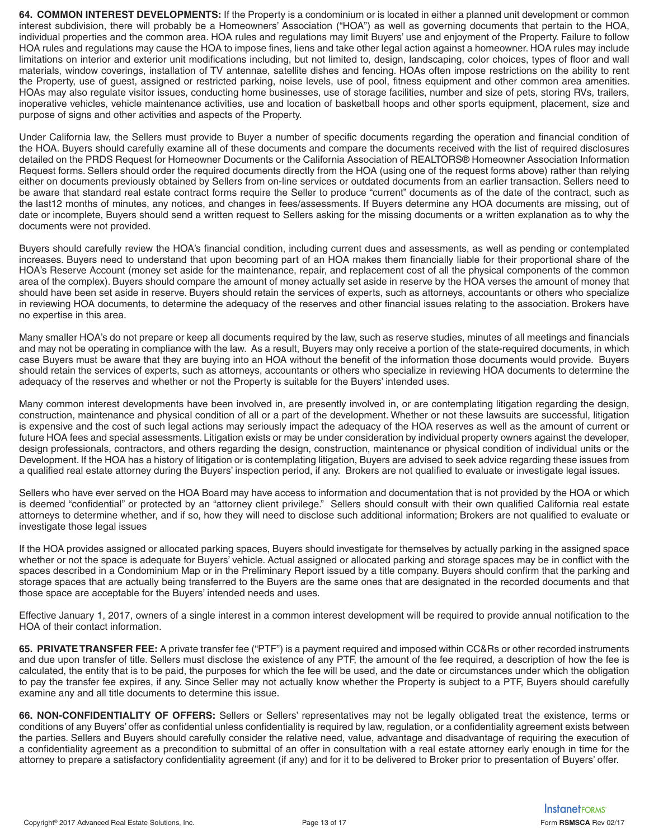**64. COMMON INTEREST DEVELOPMENTS:** If the Property is a condominium or is located in either a planned unit development or common interest subdivision, there will probably be a Homeowners' Association ("HOA") as well as governing documents that pertain to the HOA, individual properties and the common area. HOA rules and regulations may limit Buyers' use and enjoyment of the Property. Failure to follow HOA rules and regulations may cause the HOA to impose fines, liens and take other legal action against a homeowner. HOA rules may include limitations on interior and exterior unit modifications including, but not limited to, design, landscaping, color choices, types of floor and wall materials, window coverings, installation of TV antennae, satellite dishes and fencing. HOAs often impose restrictions on the ability to rent the Property, use of guest, assigned or restricted parking, noise levels, use of pool, fitness equipment and other common area amenities. HOAs may also regulate visitor issues, conducting home businesses, use of storage facilities, number and size of pets, storing RVs, trailers, inoperative vehicles, vehicle maintenance activities, use and location of basketball hoops and other sports equipment, placement, size and purpose of signs and other activities and aspects of the Property.

Under California law, the Sellers must provide to Buyer a number of specific documents regarding the operation and financial condition of the HOA. Buyers should carefully examine all of these documents and compare the documents received with the list of required disclosures detailed on the PRDS Request for Homeowner Documents or the California Association of REALTORS® Homeowner Association Information Request forms. Sellers should order the required documents directly from the HOA (using one of the request forms above) rather than relying either on documents previously obtained by Sellers from on-line services or outdated documents from an earlier transaction. Sellers need to be aware that standard real estate contract forms require the Seller to produce "current" documents as of the date of the contract, such as the last12 months of minutes, any notices, and changes in fees/assessments. If Buyers determine any HOA documents are missing, out of date or incomplete, Buyers should send a written request to Sellers asking for the missing documents or a written explanation as to why the documents were not provided.

Buyers should carefully review the HOA's financial condition, including current dues and assessments, as well as pending or contemplated increases. Buyers need to understand that upon becoming part of an HOA makes them financially liable for their proportional share of the HOA's Reserve Account (money set aside for the maintenance, repair, and replacement cost of all the physical components of the common area of the complex). Buyers should compare the amount of money actually set aside in reserve by the HOA verses the amount of money that should have been set aside in reserve. Buyers should retain the services of experts, such as attorneys, accountants or others who specialize in reviewing HOA documents, to determine the adequacy of the reserves and other financial issues relating to the association. Brokers have no expertise in this area.

Many smaller HOA's do not prepare or keep all documents required by the law, such as reserve studies, minutes of all meetings and financials and may not be operating in compliance with the law. As a result, Buyers may only receive a portion of the state-required documents, in which case Buyers must be aware that they are buying into an HOA without the benefit of the information those documents would provide. Buyers should retain the services of experts, such as attorneys, accountants or others who specialize in reviewing HOA documents to determine the adequacy of the reserves and whether or not the Property is suitable for the Buyers' intended uses.

Many common interest developments have been involved in, are presently involved in, or are contemplating litigation regarding the design, construction, maintenance and physical condition of all or a part of the development. Whether or not these lawsuits are successful, litigation is expensive and the cost of such legal actions may seriously impact the adequacy of the HOA reserves as well as the amount of current or future HOA fees and special assessments. Litigation exists or may be under consideration by individual property owners against the developer, design professionals, contractors, and others regarding the design, construction, maintenance or physical condition of individual units or the Development. If the HOA has a history of litigation or is contemplating litigation, Buyers are advised to seek advice regarding these issues from a qualified real estate attorney during the Buyers' inspection period, if any. Brokers are not qualified to evaluate or investigate legal issues.

Sellers who have ever served on the HOA Board may have access to information and documentation that is not provided by the HOA or which is deemed "confidential" or protected by an "attorney client privilege." Sellers should consult with their own qualified California real estate attorneys to determine whether, and if so, how they will need to disclose such additional information; Brokers are not qualified to evaluate or investigate those legal issues

If the HOA provides assigned or allocated parking spaces, Buyers should investigate for themselves by actually parking in the assigned space whether or not the space is adequate for Buyers' vehicle. Actual assigned or allocated parking and storage spaces may be in conflict with the spaces described in a Condominium Map or in the Preliminary Report issued by a title company. Buyers should confirm that the parking and storage spaces that are actually being transferred to the Buyers are the same ones that are designated in the recorded documents and that those space are acceptable for the Buyers' intended needs and uses.

Effective January 1, 2017, owners of a single interest in a common interest development will be required to provide annual notification to the HOA of their contact information.

**65. PRIVATE TRANSFER FEE:** A private transfer fee ("PTF") is a payment required and imposed within CC&Rs or other recorded instruments and due upon transfer of title. Sellers must disclose the existence of any PTF, the amount of the fee required, a description of how the fee is calculated, the entity that is to be paid, the purposes for which the fee will be used, and the date or circumstances under which the obligation to pay the transfer fee expires, if any. Since Seller may not actually know whether the Property is subject to a PTF, Buyers should carefully examine any and all title documents to determine this issue.

**66. NON-CONFIDENTIALITY OF OFFERS:** Sellers or Sellers' representatives may not be legally obligated treat the existence, terms or conditions of any Buyers' offer as confidential unless confidentiality is required by law, regulation, or a confidentiality agreement exists between the parties. Sellers and Buyers should carefully consider the relative need, value, advantage and disadvantage of requiring the execution of a confidentiality agreement as a precondition to submittal of an offer in consultation with a real estate attorney early enough in time for the attorney to prepare a satisfactory confidentiality agreement (if any) and for it to be delivered to Broker prior to presentation of Buyers' offer.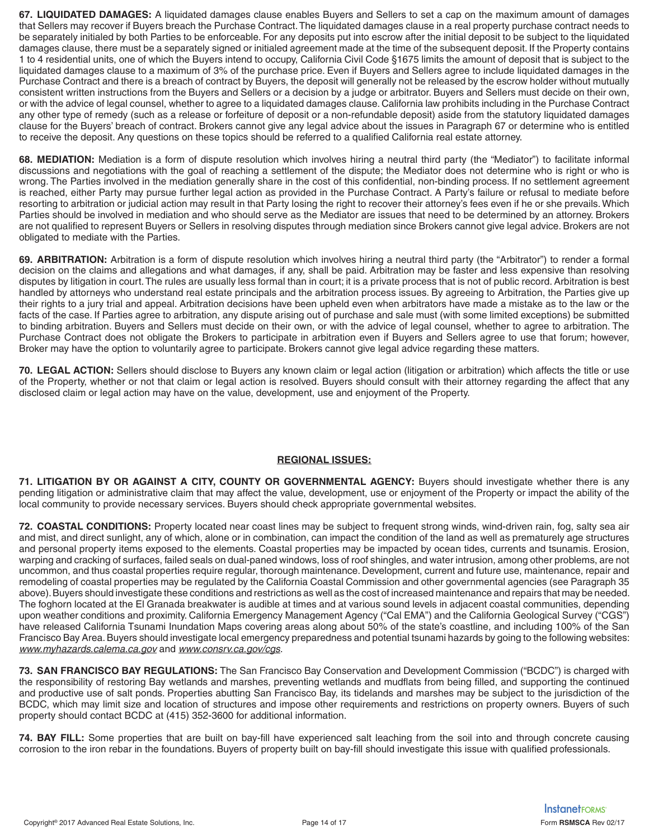**67. LIQUIDATED DAMAGES:** A liquidated damages clause enables Buyers and Sellers to set a cap on the maximum amount of damages that Sellers may recover if Buyers breach the Purchase Contract. The liquidated damages clause in a real property purchase contract needs to be separately initialed by both Parties to be enforceable. For any deposits put into escrow after the initial deposit to be subject to the liquidated damages clause, there must be a separately signed or initialed agreement made at the time of the subsequent deposit. If the Property contains 1 to 4 residential units, one of which the Buyers intend to occupy, California Civil Code §1675 limits the amount of deposit that is subject to the liquidated damages clause to a maximum of 3% of the purchase price. Even if Buyers and Sellers agree to include liquidated damages in the Purchase Contract and there is a breach of contract by Buyers, the deposit will generally not be released by the escrow holder without mutually consistent written instructions from the Buyers and Sellers or a decision by a judge or arbitrator. Buyers and Sellers must decide on their own, or with the advice of legal counsel, whether to agree to a liquidated damages clause. California law prohibits including in the Purchase Contract any other type of remedy (such as a release or forfeiture of deposit or a non-refundable deposit) aside from the statutory liquidated damages clause for the Buyers' breach of contract. Brokers cannot give any legal advice about the issues in Paragraph 67 or determine who is entitled to receive the deposit. Any questions on these topics should be referred to a qualified California real estate attorney.

**68. MEDIATION:** Mediation is a form of dispute resolution which involves hiring a neutral third party (the "Mediator") to facilitate informal discussions and negotiations with the goal of reaching a settlement of the dispute; the Mediator does not determine who is right or who is wrong. The Parties involved in the mediation generally share in the cost of this confidential, non-binding process. If no settlement agreement is reached, either Party may pursue further legal action as provided in the Purchase Contract. A Party's failure or refusal to mediate before resorting to arbitration or judicial action may result in that Party losing the right to recover their attorney's fees even if he or she prevails. Which Parties should be involved in mediation and who should serve as the Mediator are issues that need to be determined by an attorney. Brokers are not qualified to represent Buyers or Sellers in resolving disputes through mediation since Brokers cannot give legal advice. Brokers are not obligated to mediate with the Parties.

**69. ARBITRATION:** Arbitration is a form of dispute resolution which involves hiring a neutral third party (the "Arbitrator") to render a formal decision on the claims and allegations and what damages, if any, shall be paid. Arbitration may be faster and less expensive than resolving disputes by litigation in court. The rules are usually less formal than in court; it is a private process that is not of public record. Arbitration is best handled by attorneys who understand real estate principals and the arbitration process issues. By agreeing to Arbitration, the Parties give up their rights to a jury trial and appeal. Arbitration decisions have been upheld even when arbitrators have made a mistake as to the law or the facts of the case. If Parties agree to arbitration, any dispute arising out of purchase and sale must (with some limited exceptions) be submitted to binding arbitration. Buyers and Sellers must decide on their own, or with the advice of legal counsel, whether to agree to arbitration. The Purchase Contract does not obligate the Brokers to participate in arbitration even if Buyers and Sellers agree to use that forum; however, Broker may have the option to voluntarily agree to participate. Brokers cannot give legal advice regarding these matters.

**70. LEGAL ACTION:** Sellers should disclose to Buyers any known claim or legal action (litigation or arbitration) which affects the title or use of the Property, whether or not that claim or legal action is resolved. Buyers should consult with their attorney regarding the affect that any disclosed claim or legal action may have on the value, development, use and enjoyment of the Property.

#### **REGIONAL ISSUES:**

**71. LITIGATION BY OR AGAINST A CITY, COUNTY OR GOVERNMENTAL AGENCY:** Buyers should investigate whether there is any pending litigation or administrative claim that may affect the value, development, use or enjoyment of the Property or impact the ability of the local community to provide necessary services. Buyers should check appropriate governmental websites.

**72. COASTAL CONDITIONS:** Property located near coast lines may be subject to frequent strong winds, wind-driven rain, fog, salty sea air and mist, and direct sunlight, any of which, alone or in combination, can impact the condition of the land as well as prematurely age structures and personal property items exposed to the elements. Coastal properties may be impacted by ocean tides, currents and tsunamis. Erosion, warping and cracking of surfaces, failed seals on dual-paned windows, loss of roof shingles, and water intrusion, among other problems, are not uncommon, and thus coastal properties require regular, thorough maintenance. Development, current and future use, maintenance, repair and remodeling of coastal properties may be regulated by the California Coastal Commission and other governmental agencies (see Paragraph 35 above). Buyers should investigate these conditions and restrictions as well as the cost of increased maintenance and repairs that may be needed. The foghorn located at the El Granada breakwater is audible at times and at various sound levels in adjacent coastal communities, depending upon weather conditions and proximity. California Emergency Management Agency ("Cal EMA") and the California Geological Survey ("CGS") have released California Tsunami Inundation Maps covering areas along about 50% of the state's coastline, and including 100% of the San Francisco Bay Area. Buyers should investigate local emergency preparedness and potential tsunami hazards by going to the following websites: www.myhazards.calema.ca.gov and www.consrv.ca.gov/cgs.

**73. SAN FRANCISCO BAY REGULATIONS:** The San Francisco Bay Conservation and Development Commission ("BCDC") is charged with the responsibility of restoring Bay wetlands and marshes, preventing wetlands and mudflats from being filled, and supporting the continued and productive use of salt ponds. Properties abutting San Francisco Bay, its tidelands and marshes may be subject to the jurisdiction of the BCDC, which may limit size and location of structures and impose other requirements and restrictions on property owners. Buyers of such property should contact BCDC at (415) 352-3600 for additional information.

**74. BAY FILL:** Some properties that are built on bay-fill have experienced salt leaching from the soil into and through concrete causing corrosion to the iron rebar in the foundations. Buyers of property built on bay-fill should investigate this issue with qualified professionals.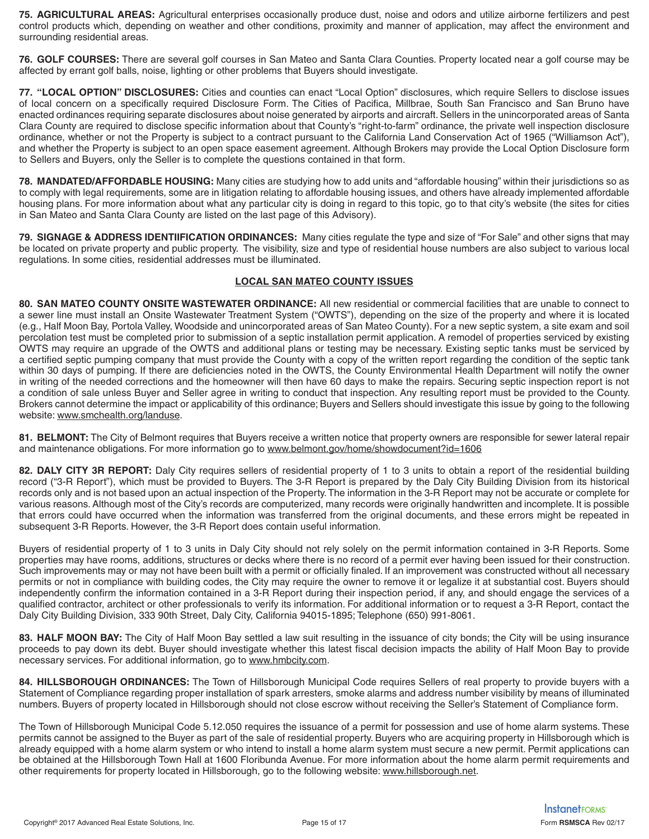**75. AGRICULTURAL AREAS:** Agricultural enterprises occasionally produce dust, noise and odors and utilize airborne fertilizers and pest control products which, depending on weather and other conditions, proximity and manner of application, may affect the environment and surrounding residential areas.

**76. GOLF COURSES:** There are several golf courses in San Mateo and Santa Clara Counties. Property located near a golf course may be affected by errant golf balls, noise, lighting or other problems that Buyers should investigate.

**77. "LOCAL OPTION" DISCLOSURES:** Cities and counties can enact "Local Option" disclosures, which require Sellers to disclose issues of local concern on a specifically required Disclosure Form. The Cities of Pacifica, Millbrae, South San Francisco and San Bruno have enacted ordinances requiring separate disclosures about noise generated by airports and aircraft. Sellers in the unincorporated areas of Santa Clara County are required to disclose specific information about that County's "right-to-farm" ordinance, the private well inspection disclosure ordinance, whether or not the Property is subject to a contract pursuant to the California Land Conservation Act of 1965 ("Williamson Act"), and whether the Property is subject to an open space easement agreement. Although Brokers may provide the Local Option Disclosure form to Sellers and Buyers, only the Seller is to complete the questions contained in that form.

**78. MANDATED/AFFORDABLE HOUSING:** Many cities are studying how to add units and "affordable housing" within their jurisdictions so as to comply with legal requirements, some are in litigation relating to affordable housing issues, and others have already implemented affordable housing plans. For more information about what any particular city is doing in regard to this topic, go to that city's website (the sites for cities in San Mateo and Santa Clara County are listed on the last page of this Advisory).

**79. SIGNAGE & ADDRESS IDENTIIFICATION ORDINANCES:** Many cities regulate the type and size of "For Sale" and other signs that may be located on private property and public property. The visibility, size and type of residential house numbers are also subject to various local regulations. In some cities, residential addresses must be illuminated.

## **LOCAL SAN MATEO COUNTY ISSUES**

**80. SAN MATEO COUNTY ONSITE WASTEWATER ORDINANCE:** All new residential or commercial facilities that are unable to connect to a sewer line must install an Onsite Wastewater Treatment System ("OWTS"), depending on the size of the property and where it is located (e.g., Half Moon Bay, Portola Valley, Woodside and unincorporated areas of San Mateo County). For a new septic system, a site exam and soil percolation test must be completed prior to submission of a septic installation permit application. A remodel of properties serviced by existing OWTS may require an upgrade of the OWTS and additional plans or testing may be necessary. Existing septic tanks must be serviced by a certified septic pumping company that must provide the County with a copy of the written report regarding the condition of the septic tank within 30 days of pumping. If there are deficiencies noted in the OWTS, the County Environmental Health Department will notify the owner in writing of the needed corrections and the homeowner will then have 60 days to make the repairs. Securing septic inspection report is not a condition of sale unless Buyer and Seller agree in writing to conduct that inspection. Any resulting report must be provided to the County. Brokers cannot determine the impact or applicability of this ordinance; Buyers and Sellers should investigate this issue by going to the following website: www.smchealth.org/landuse.

**81. BELMONT:** The City of Belmont requires that Buyers receive a written notice that property owners are responsible for sewer lateral repair and maintenance obligations. For more information go to www.belmont.gov/home/showdocument?id=1606

**82. DALY CITY 3R REPORT:** Daly City requires sellers of residential property of 1 to 3 units to obtain a report of the residential building record ("3-R Report"), which must be provided to Buyers. The 3-R Report is prepared by the Daly City Building Division from its historical records only and is not based upon an actual inspection of the Property. The information in the 3-R Report may not be accurate or complete for various reasons. Although most of the City's records are computerized, many records were originally handwritten and incomplete. It is possible that errors could have occurred when the information was transferred from the original documents, and these errors might be repeated in subsequent 3-R Reports. However, the 3-R Report does contain useful information.

Buyers of residential property of 1 to 3 units in Daly City should not rely solely on the permit information contained in 3-R Reports. Some properties may have rooms, additions, structures or decks where there is no record of a permit ever having been issued for their construction. Such improvements may or may not have been built with a permit or officially finaled. If an improvement was constructed without all necessary permits or not in compliance with building codes, the City may require the owner to remove it or legalize it at substantial cost. Buyers should independently confirm the information contained in a 3-R Report during their inspection period, if any, and should engage the services of a qualified contractor, architect or other professionals to verify its information. For additional information or to request a 3-R Report, contact the Daly City Building Division, 333 90th Street, Daly City, California 94015-1895; Telephone (650) 991-8061.

**83. HALF MOON BAY:** The City of Half Moon Bay settled a law suit resulting in the issuance of city bonds; the City will be using insurance proceeds to pay down its debt. Buyer should investigate whether this latest fiscal decision impacts the ability of Half Moon Bay to provide necessary services. For additional information, go to www.hmbcity.com.

**84. HILLSBOROUGH ORDINANCES:** The Town of Hillsborough Municipal Code requires Sellers of real property to provide buyers with a Statement of Compliance regarding proper installation of spark arresters, smoke alarms and address number visibility by means of illuminated numbers. Buyers of property located in Hillsborough should not close escrow without receiving the Seller's Statement of Compliance form.

The Town of Hillsborough Municipal Code 5.12.050 requires the issuance of a permit for possession and use of home alarm systems. These permits cannot be assigned to the Buyer as part of the sale of residential property. Buyers who are acquiring property in Hillsborough which is already equipped with a home alarm system or who intend to install a home alarm system must secure a new permit. Permit applications can be obtained at the Hillsborough Town Hall at 1600 Floribunda Avenue. For more information about the home alarm permit requirements and other requirements for property located in Hillsborough, go to the following website: www.hillsborough.net.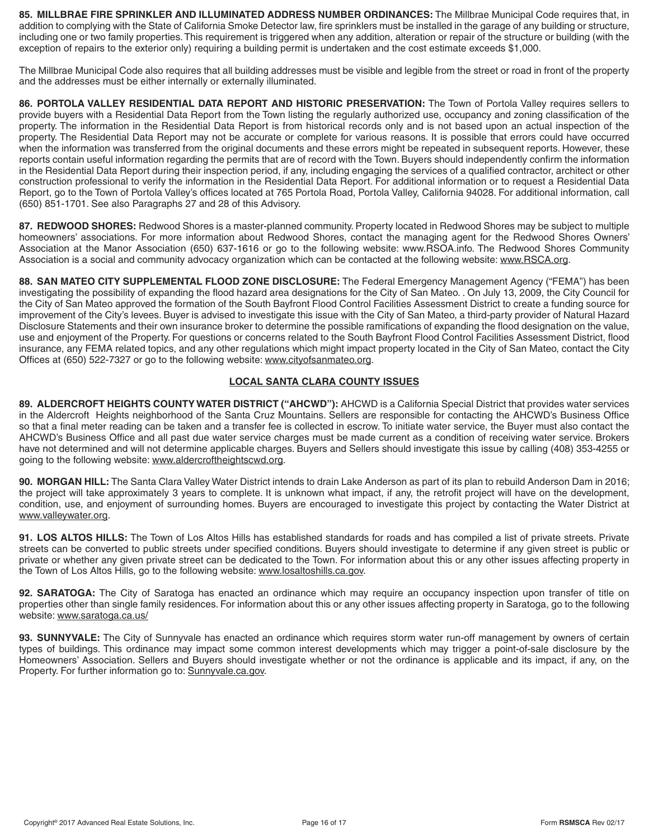**85. MILLBRAE FIRE SPRINKLER AND ILLUMINATED ADDRESS NUMBER ORDINANCES:** The Millbrae Municipal Code requires that, in addition to complying with the State of California Smoke Detector law, fire sprinklers must be installed in the garage of any building or structure, including one or two family properties. This requirement is triggered when any addition, alteration or repair of the structure or building (with the exception of repairs to the exterior only) requiring a building permit is undertaken and the cost estimate exceeds \$1,000.

The Millbrae Municipal Code also requires that all building addresses must be visible and legible from the street or road in front of the property and the addresses must be either internally or externally illuminated.

**86. PORTOLA VALLEY RESIDENTIAL DATA REPORT AND HISTORIC PRESERVATION:** The Town of Portola Valley requires sellers to provide buyers with a Residential Data Report from the Town listing the regularly authorized use, occupancy and zoning classification of the property. The information in the Residential Data Report is from historical records only and is not based upon an actual inspection of the property. The Residential Data Report may not be accurate or complete for various reasons. It is possible that errors could have occurred when the information was transferred from the original documents and these errors might be repeated in subsequent reports. However, these reports contain useful information regarding the permits that are of record with the Town. Buyers should independently confirm the information in the Residential Data Report during their inspection period, if any, including engaging the services of a qualified contractor, architect or other construction professional to verify the information in the Residential Data Report. For additional information or to request a Residential Data Report, go to the Town of Portola Valley's offices located at 765 Portola Road, Portola Valley, California 94028. For additional information, call (650) 851-1701. See also Paragraphs 27 and 28 of this Advisory.

**87. REDWOOD SHORES:** Redwood Shores is a master-planned community. Property located in Redwood Shores may be subject to multiple homeowners' associations. For more information about Redwood Shores, contact the managing agent for the Redwood Shores Owners' Association at the Manor Association (650) 637-1616 or go to the following website: www.RSOA.info. The Redwood Shores Community Association is a social and community advocacy organization which can be contacted at the following website: www.RSCA.org.

**88. SAN MATEO CITY SUPPLEMENTAL FLOOD ZONE DISCLOSURE:** The Federal Emergency Management Agency ("FEMA") has been investigating the possibility of expanding the flood hazard area designations for the City of San Mateo. . On July 13, 2009, the City Council for the City of San Mateo approved the formation of the South Bayfront Flood Control Facilities Assessment District to create a funding source for improvement of the City's levees. Buyer is advised to investigate this issue with the City of San Mateo, a third-party provider of Natural Hazard Disclosure Statements and their own insurance broker to determine the possible ramifications of expanding the flood designation on the value, use and enjoyment of the Property. For questions or concerns related to the South Bayfront Flood Control Facilities Assessment District, flood insurance, any FEMA related topics, and any other regulations which might impact property located in the City of San Mateo, contact the City Offices at (650) 522-7327 or go to the following website: www.cityofsanmateo.org.

# **LOCAL SANTA CLARA COUNTY ISSUES**

**89. ALDERCROFT HEIGHTS COUNTY WATER DISTRICT ("AHCWD"):** AHCWD is a California Special District that provides water services in the Aldercroft Heights neighborhood of the Santa Cruz Mountains. Sellers are responsible for contacting the AHCWD's Business Office so that a final meter reading can be taken and a transfer fee is collected in escrow. To initiate water service, the Buyer must also contact the AHCWD's Business Office and all past due water service charges must be made current as a condition of receiving water service. Brokers have not determined and will not determine applicable charges. Buyers and Sellers should investigate this issue by calling (408) 353-4255 or going to the following website: www.aldercroftheightscwd.org.

**90. MORGAN HILL:** The Santa Clara Valley Water District intends to drain Lake Anderson as part of its plan to rebuild Anderson Dam in 2016; the project will take approximately 3 years to complete. It is unknown what impact, if any, the retrofit project will have on the development, condition, use, and enjoyment of surrounding homes. Buyers are encouraged to investigate this project by contacting the Water District at www.valleywater.org.

91. LOS ALTOS HILLS: The Town of Los Altos Hills has established standards for roads and has compiled a list of private streets. Private streets can be converted to public streets under specified conditions. Buyers should investigate to determine if any given street is public or private or whether any given private street can be dedicated to the Town. For information about this or any other issues affecting property in the Town of Los Altos Hills, go to the following website: www.losaltoshills.ca.gov.

**92. SARATOGA:** The City of Saratoga has enacted an ordinance which may require an occupancy inspection upon transfer of title on properties other than single family residences. For information about this or any other issues affecting property in Saratoga, go to the following website: www.saratoga.ca.us/

**93. SUNNYVALE:** The City of Sunnyvale has enacted an ordinance which requires storm water run-off management by owners of certain types of buildings. This ordinance may impact some common interest developments which may trigger a point-of-sale disclosure by the Homeowners' Association. Sellers and Buyers should investigate whether or not the ordinance is applicable and its impact, if any, on the Property. For further information go to: Sunnyvale.ca.gov.